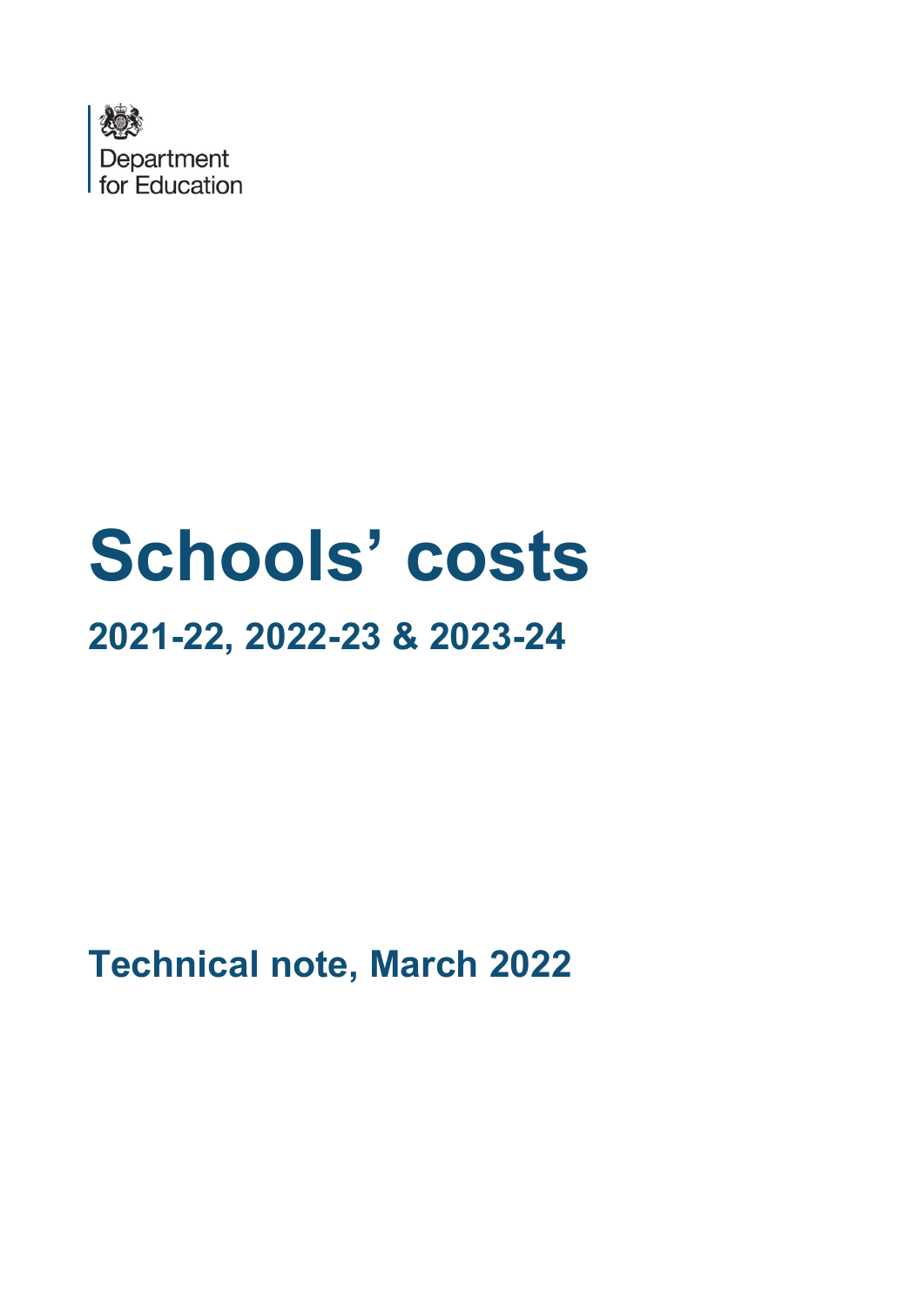

# **Schools' costs 2021-22, 2022-23 & 2023-24**

**Technical note, March 2022**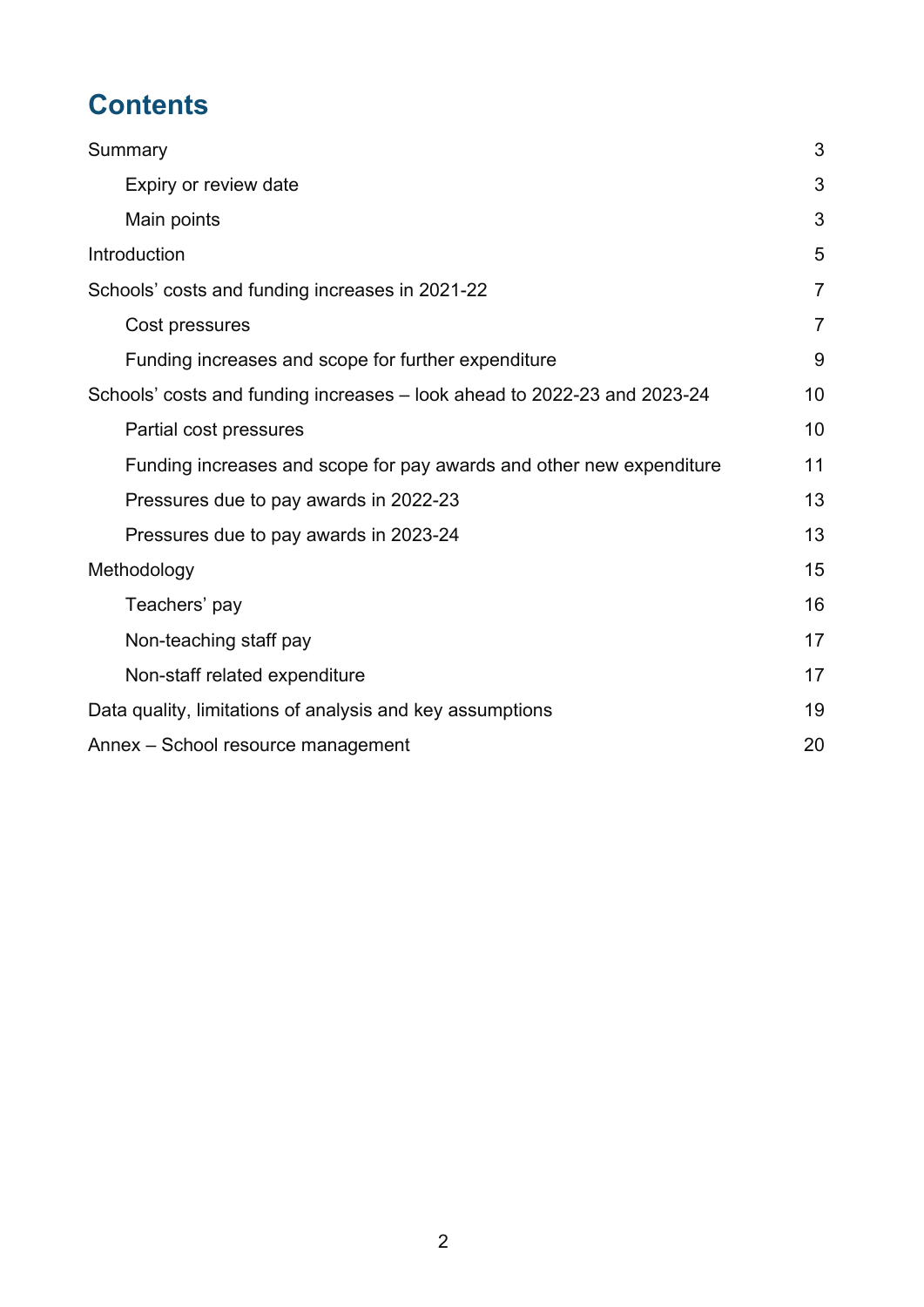# **Contents**

| Summary                                                                  | 3              |
|--------------------------------------------------------------------------|----------------|
| Expiry or review date                                                    | 3              |
| Main points                                                              | 3              |
| Introduction                                                             | 5              |
| Schools' costs and funding increases in 2021-22                          | $\overline{7}$ |
| Cost pressures                                                           | $\overline{7}$ |
| Funding increases and scope for further expenditure                      | 9              |
| Schools' costs and funding increases – look ahead to 2022-23 and 2023-24 | 10             |
| Partial cost pressures                                                   | 10             |
| Funding increases and scope for pay awards and other new expenditure     | 11             |
| Pressures due to pay awards in 2022-23                                   | 13             |
| Pressures due to pay awards in 2023-24                                   | 13             |
| Methodology                                                              | 15             |
| Teachers' pay                                                            | 16             |
| Non-teaching staff pay                                                   | 17             |
| Non-staff related expenditure                                            | 17             |
| Data quality, limitations of analysis and key assumptions                | 19             |
| Annex - School resource management                                       | 20             |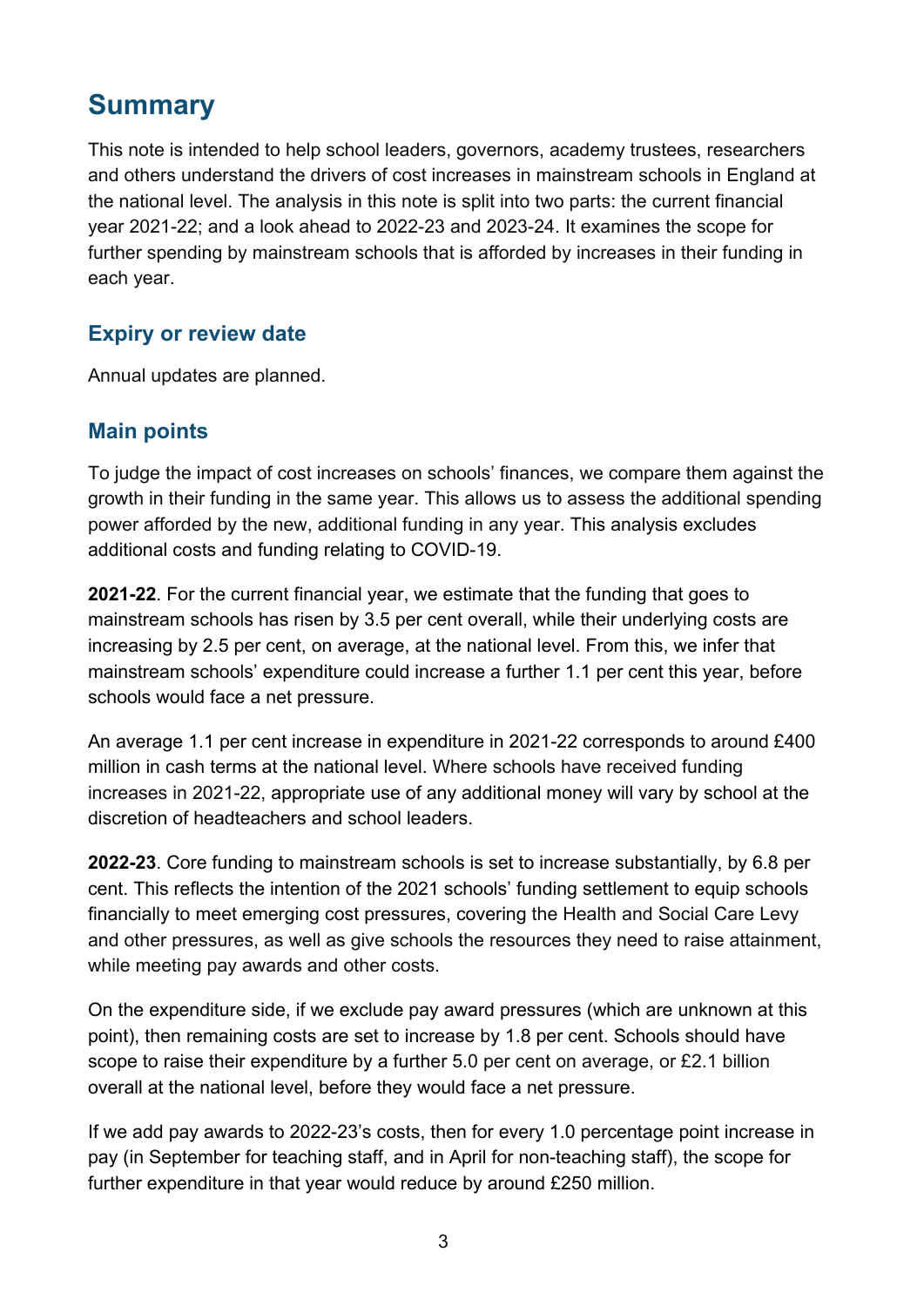### <span id="page-2-0"></span>**Summary**

This note is intended to help school leaders, governors, academy trustees, researchers and others understand the drivers of cost increases in mainstream schools in England at the national level. The analysis in this note is split into two parts: the current financial year 2021-22; and a look ahead to 2022-23 and 2023-24. It examines the scope for further spending by mainstream schools that is afforded by increases in their funding in each year.

#### <span id="page-2-1"></span>**Expiry or review date**

Annual updates are planned.

#### <span id="page-2-2"></span>**Main points**

To judge the impact of cost increases on schools' finances, we compare them against the growth in their funding in the same year. This allows us to assess the additional spending power afforded by the new, additional funding in any year. This analysis excludes additional costs and funding relating to COVID-19.

**2021-22**. For the current financial year, we estimate that the funding that goes to mainstream schools has risen by 3.5 per cent overall, while their underlying costs are increasing by 2.5 per cent, on average, at the national level. From this, we infer that mainstream schools' expenditure could increase a further 1.1 per cent this year, before schools would face a net pressure.

An average 1.1 per cent increase in expenditure in 2021-22 corresponds to around £400 million in cash terms at the national level. Where schools have received funding increases in 2021-22, appropriate use of any additional money will vary by school at the discretion of headteachers and school leaders.

**2022-23**. Core funding to mainstream schools is set to increase substantially, by 6.8 per cent. This reflects the intention of the 2021 schools' funding settlement to equip schools financially to meet emerging cost pressures, covering the Health and Social Care Levy and other pressures, as well as give schools the resources they need to raise attainment, while meeting pay awards and other costs.

On the expenditure side, if we exclude pay award pressures (which are unknown at this point), then remaining costs are set to increase by 1.8 per cent. Schools should have scope to raise their expenditure by a further 5.0 per cent on average, or £2.1 billion overall at the national level, before they would face a net pressure.

If we add pay awards to 2022-23's costs, then for every 1.0 percentage point increase in pay (in September for teaching staff, and in April for non-teaching staff), the scope for further expenditure in that year would reduce by around £250 million.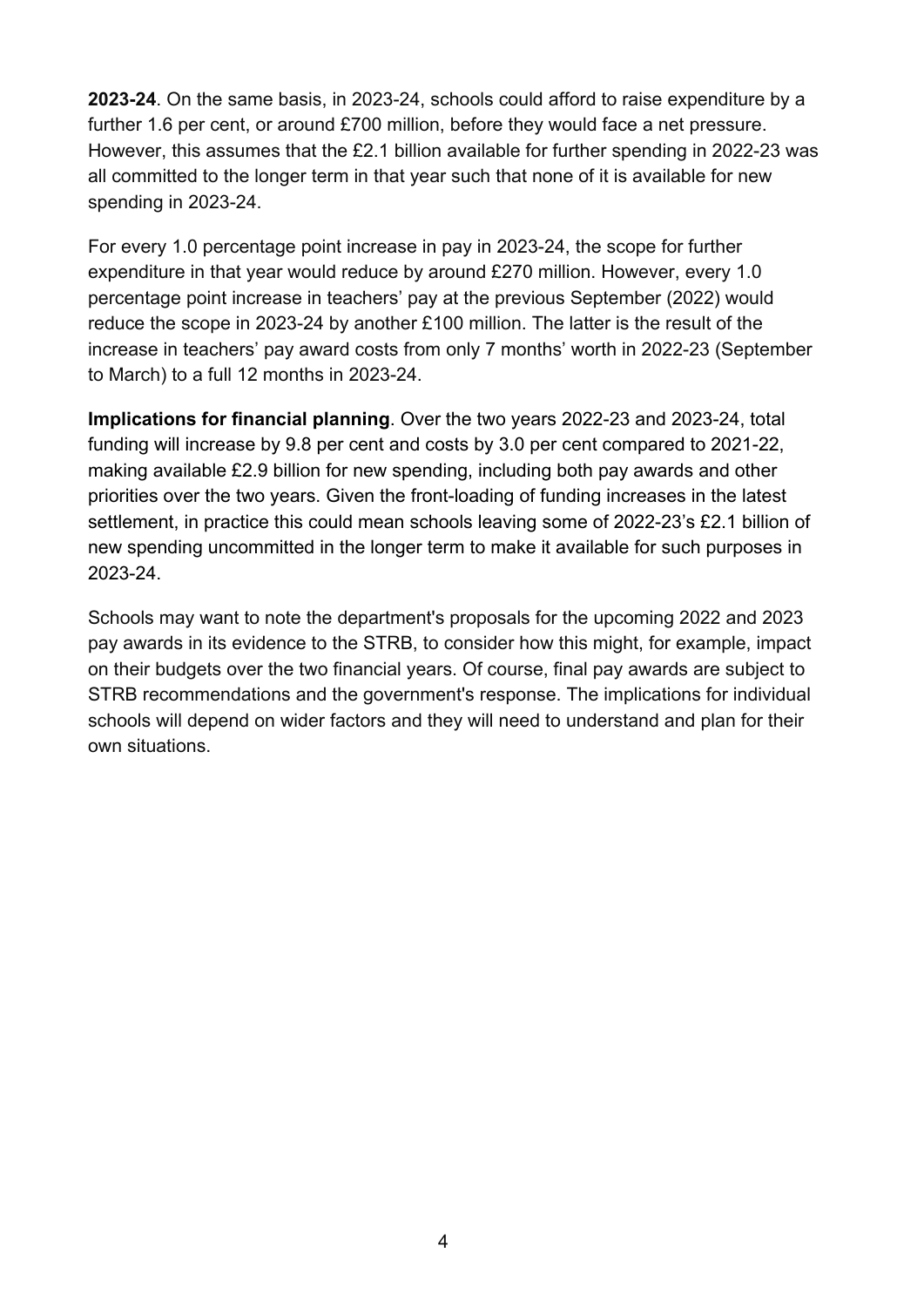**2023-24**. On the same basis, in 2023-24, schools could afford to raise expenditure by a further 1.6 per cent, or around £700 million, before they would face a net pressure. However, this assumes that the £2.1 billion available for further spending in 2022-23 was all committed to the longer term in that year such that none of it is available for new spending in 2023-24.

For every 1.0 percentage point increase in pay in 2023-24, the scope for further expenditure in that year would reduce by around £270 million. However, every 1.0 percentage point increase in teachers' pay at the previous September (2022) would reduce the scope in 2023-24 by another £100 million. The latter is the result of the increase in teachers' pay award costs from only 7 months' worth in 2022-23 (September to March) to a full 12 months in 2023-24.

**Implications for financial planning**. Over the two years 2022-23 and 2023-24, total funding will increase by 9.8 per cent and costs by 3.0 per cent compared to 2021-22, making available £2.9 billion for new spending, including both pay awards and other priorities over the two years. Given the front-loading of funding increases in the latest settlement, in practice this could mean schools leaving some of 2022-23's £2.1 billion of new spending uncommitted in the longer term to make it available for such purposes in 2023-24.

Schools may want to note the department's proposals for the upcoming 2022 and 2023 pay awards in its evidence to the STRB, to consider how this might, for example, impact on their budgets over the two financial years. Of course, final pay awards are subject to STRB recommendations and the government's response. The implications for individual schools will depend on wider factors and they will need to understand and plan for their own situations.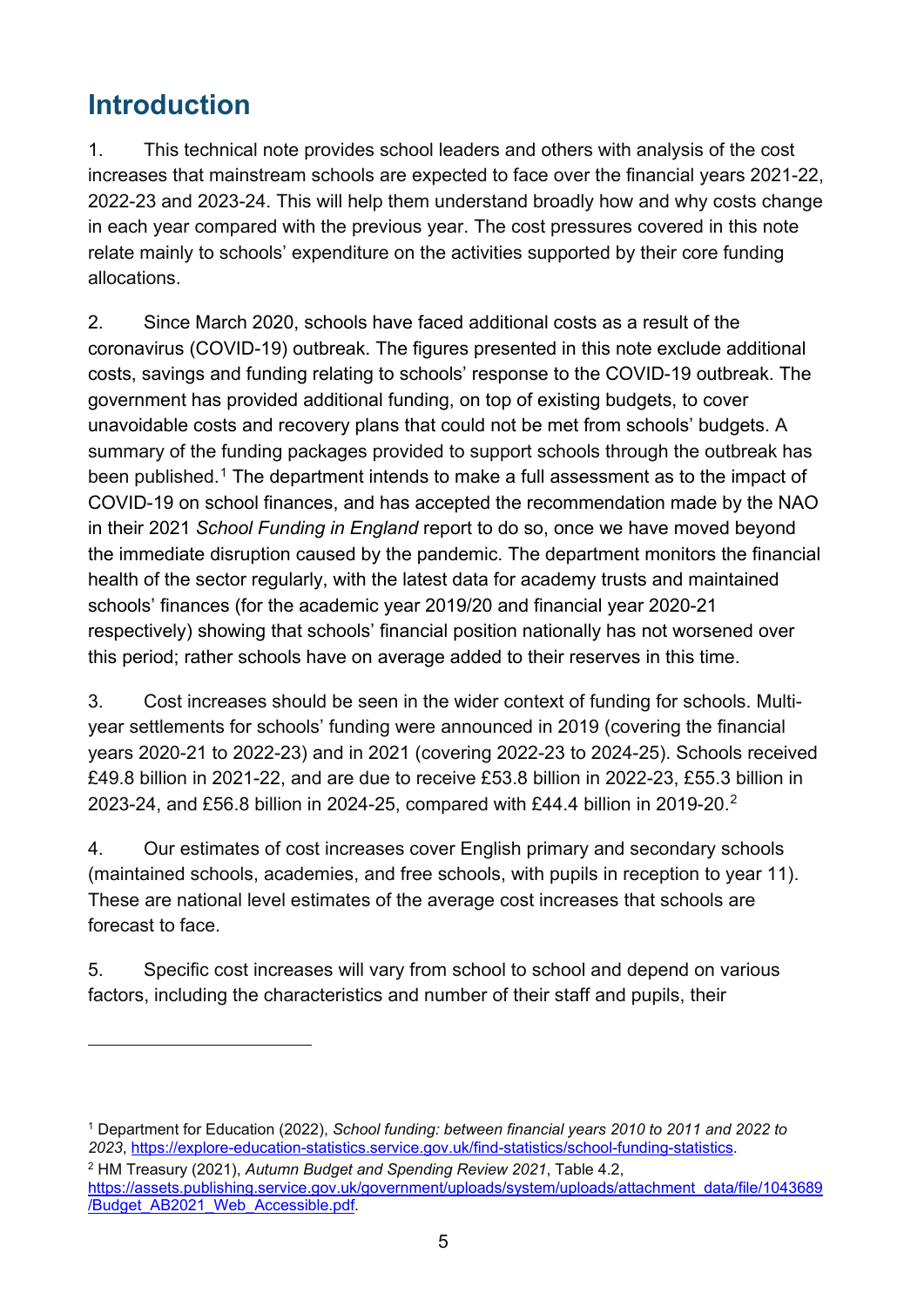# <span id="page-4-0"></span>**Introduction**

1. This technical note provides school leaders and others with analysis of the cost increases that mainstream schools are expected to face over the financial years 2021-22, 2022-23 and 2023-24. This will help them understand broadly how and why costs change in each year compared with the previous year. The cost pressures covered in this note relate mainly to schools' expenditure on the activities supported by their core funding allocations.

2. Since March 2020, schools have faced additional costs as a result of the coronavirus (COVID-19) outbreak. The figures presented in this note exclude additional costs, savings and funding relating to schools' response to the COVID-19 outbreak. The government has provided additional funding, on top of existing budgets, to cover unavoidable costs and recovery plans that could not be met from schools' budgets. A summary of the funding packages provided to support schools through the outbreak has been published. [1](#page-4-1) The department intends to make a full assessment as to the impact of COVID-19 on school finances, and has accepted the recommendation made by the NAO in their 2021 *School Funding in England* report to do so, once we have moved beyond the immediate disruption caused by the pandemic. The department monitors the financial health of the sector regularly, with the latest data for academy trusts and maintained schools' finances (for the academic year 2019/20 and financial year 2020-21 respectively) showing that schools' financial position nationally has not worsened over this period; rather schools have on average added to their reserves in this time.

3. Cost increases should be seen in the wider context of funding for schools. Multiyear settlements for schools' funding were announced in 2019 (covering the financial years 2020-21 to 2022-23) and in 2021 (covering 2022-23 to 2024-25). Schools received £49.8 billion in 2021-22, and are due to receive £53.8 billion in 2022-23, £55.3 billion in 2023-24, and £56.8 billion in 2024-25, compared with £44.4 billion in 2019-20.[2](#page-4-2)

4. Our estimates of cost increases cover English primary and secondary schools (maintained schools, academies, and free schools, with pupils in reception to year 11). These are national level estimates of the average cost increases that schools are forecast to face.

5. Specific cost increases will vary from school to school and depend on various factors, including the characteristics and number of their staff and pupils, their

<span id="page-4-1"></span><sup>1</sup> Department for Education (2022), *School funding: between financial years 2010 to 2011 and 2022 to 2023*, [https://explore-education-statistics.service.gov.uk/find-statistics/school-funding-statistics.](https://explore-education-statistics.service.gov.uk/find-statistics/school-funding-statistics)

<span id="page-4-2"></span><sup>2</sup> HM Treasury (2021), *Autumn Budget and Spending Review 2021*, Table 4.2, [https://assets.publishing.service.gov.uk/government/uploads/system/uploads/attachment\\_data/file/1043689](https://assets.publishing.service.gov.uk/government/uploads/system/uploads/attachment_data/file/1043689/Budget_AB2021_Web_Accessible.pdf) [/Budget\\_AB2021\\_Web\\_Accessible.pdf.](https://assets.publishing.service.gov.uk/government/uploads/system/uploads/attachment_data/file/1043689/Budget_AB2021_Web_Accessible.pdf)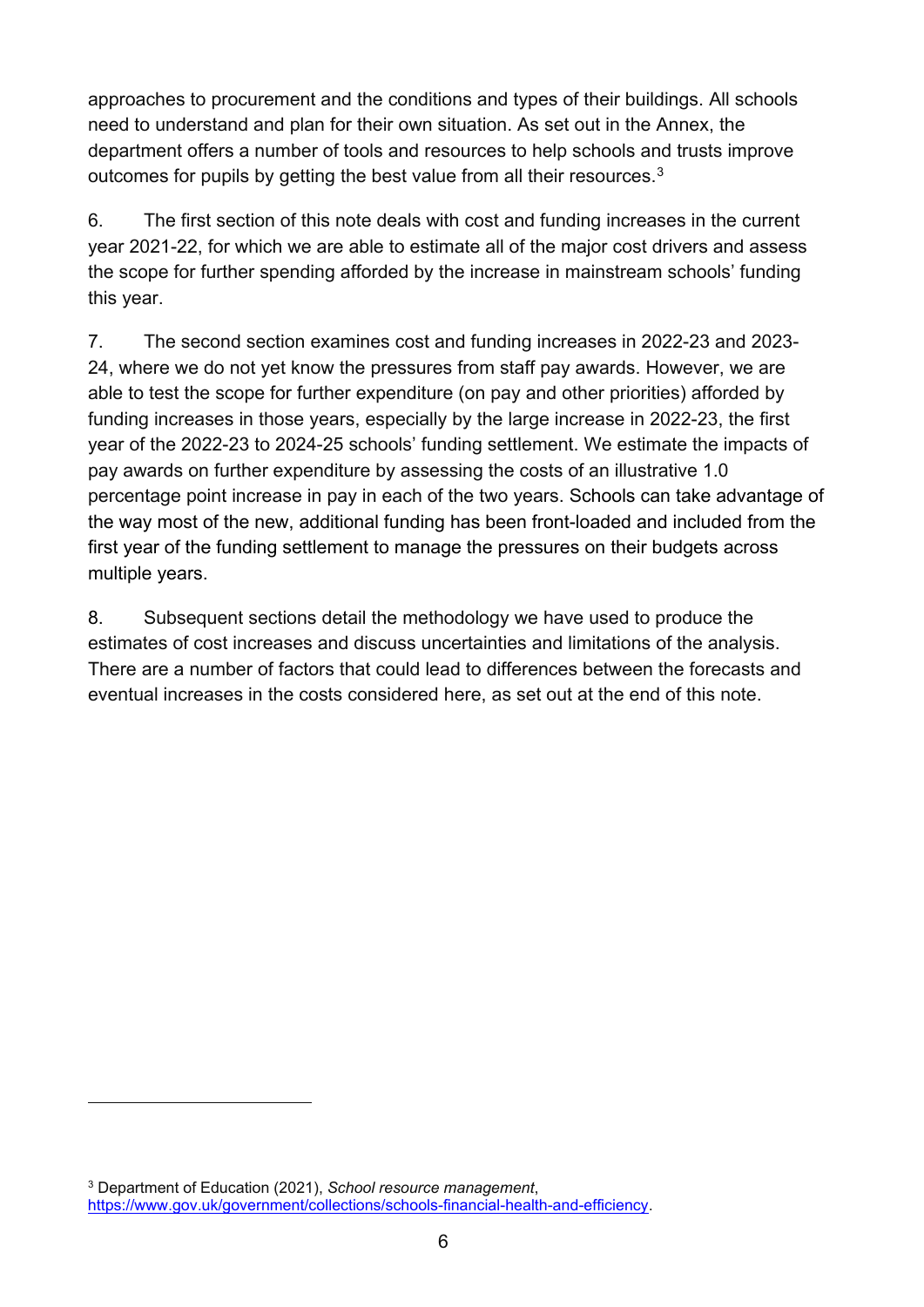approaches to procurement and the conditions and types of their buildings. All schools need to understand and plan for their own situation. As set out in the Annex, the department offers a number of tools and resources to help schools and trusts improve outcomes for pupils by getting the best value from all their resources.  $3$ 

6. The first section of this note deals with cost and funding increases in the current year 2021-22, for which we are able to estimate all of the major cost drivers and assess the scope for further spending afforded by the increase in mainstream schools' funding this year.

7. The second section examines cost and funding increases in 2022-23 and 2023- 24, where we do not yet know the pressures from staff pay awards. However, we are able to test the scope for further expenditure (on pay and other priorities) afforded by funding increases in those years, especially by the large increase in 2022-23, the first year of the 2022-23 to 2024-25 schools' funding settlement. We estimate the impacts of pay awards on further expenditure by assessing the costs of an illustrative 1.0 percentage point increase in pay in each of the two years. Schools can take advantage of the way most of the new, additional funding has been front-loaded and included from the first year of the funding settlement to manage the pressures on their budgets across multiple years.

8. Subsequent sections detail the methodology we have used to produce the estimates of cost increases and discuss uncertainties and limitations of the analysis. There are a number of factors that could lead to differences between the forecasts and eventual increases in the costs considered here, as set out at the end of this note.

<span id="page-5-0"></span><sup>3</sup> Department of Education (2021), *School resource management*, [https://www.gov.uk/government/collections/schools-financial-health-and-efficiency.](https://www.gov.uk/government/collections/schools-financial-health-and-efficiency)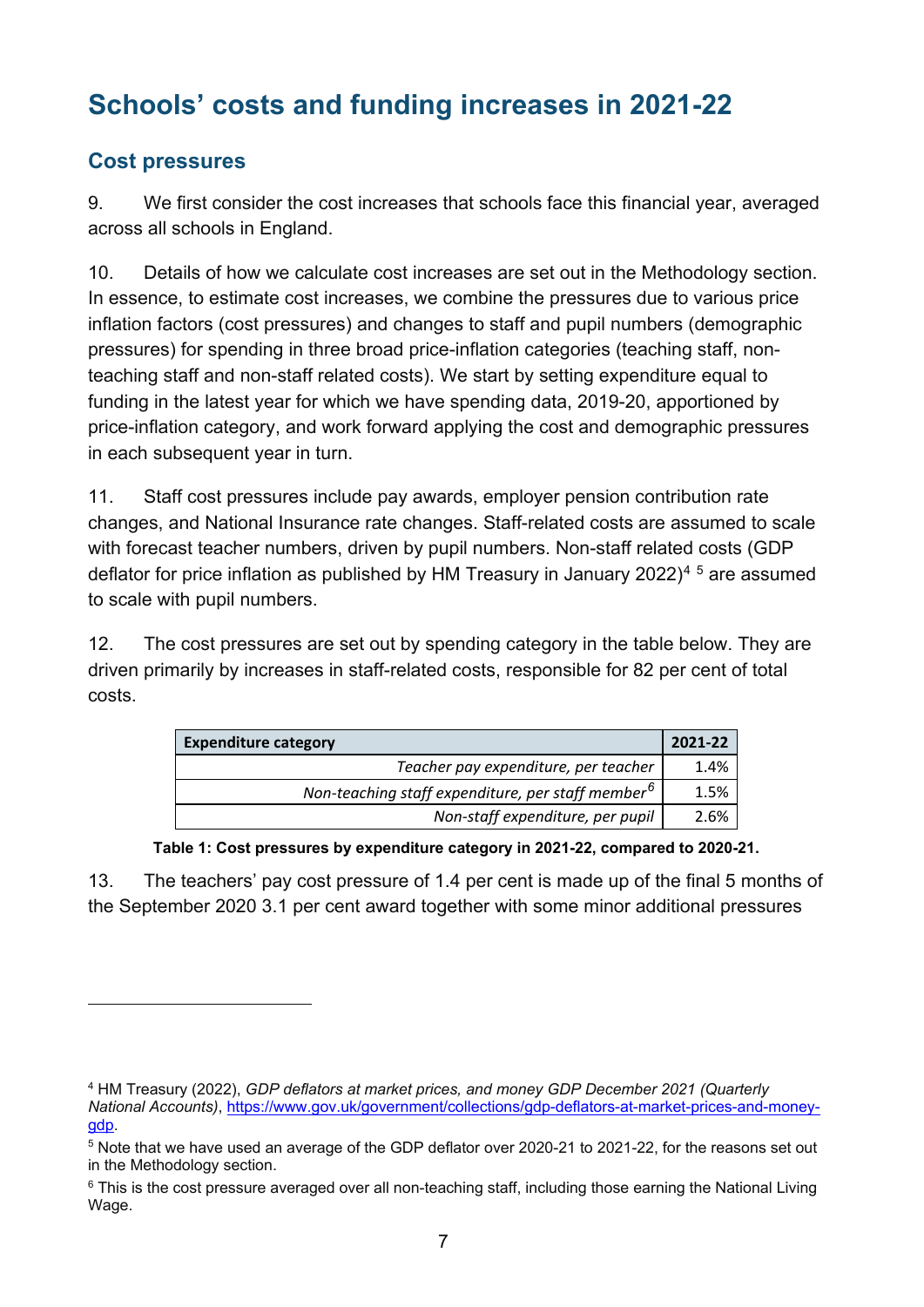# <span id="page-6-0"></span>**Schools' costs and funding increases in 2021-22**

#### <span id="page-6-1"></span>**Cost pressures**

9. We first consider the cost increases that schools face this financial year, averaged across all schools in England.

10. Details of how we calculate cost increases are set out in the Methodology section. In essence, to estimate cost increases, we combine the pressures due to various price inflation factors (cost pressures) and changes to staff and pupil numbers (demographic pressures) for spending in three broad price-inflation categories (teaching staff, nonteaching staff and non-staff related costs). We start by setting expenditure equal to funding in the latest year for which we have spending data, 2019-20, apportioned by price-inflation category, and work forward applying the cost and demographic pressures in each subsequent year in turn.

11. Staff cost pressures include pay awards, employer pension contribution rate changes, and National Insurance rate changes. Staff-related costs are assumed to scale with forecast teacher numbers, driven by pupil numbers. Non-staff related costs (GDP deflator for price inflation as published by HM Treasury in January 2022)<sup>[4](#page-6-2)[5](#page-6-3)</sup> are assumed to scale with pupil numbers.

12. The cost pressures are set out by spending category in the table below. They are driven primarily by increases in staff-related costs, responsible for 82 per cent of total costs.

| <b>Expenditure category</b>                                   | 2021-22 |
|---------------------------------------------------------------|---------|
| Teacher pay expenditure, per teacher                          | 1.4%    |
| Non-teaching staff expenditure, per staff member <sup>6</sup> | 1.5%    |
| Non-staff expenditure, per pupil                              | 2.6%    |

**Table 1: Cost pressures by expenditure category in 2021-22, compared to 2020-21.** 

13. The teachers' pay cost pressure of 1.4 per cent is made up of the final 5 months of the September 2020 3.1 per cent award together with some minor additional pressures

<span id="page-6-2"></span><sup>4</sup> HM Treasury (2022), *GDP deflators at market prices, and money GDP December 2021 (Quarterly* 

*National Accounts)*, [https://www.gov.uk/government/collections/gdp-deflators-at-market-prices-and-money](https://www.gov.uk/government/collections/gdp-deflators-at-market-prices-and-money-gdp)[gdp.](https://www.gov.uk/government/collections/gdp-deflators-at-market-prices-and-money-gdp)

<span id="page-6-3"></span><sup>5</sup> Note that we have used an average of the GDP deflator over 2020-21 to 2021-22, for the reasons set out in the Methodology section.

<span id="page-6-4"></span><sup>&</sup>lt;sup>6</sup> This is the cost pressure averaged over all non-teaching staff, including those earning the National Living Wage.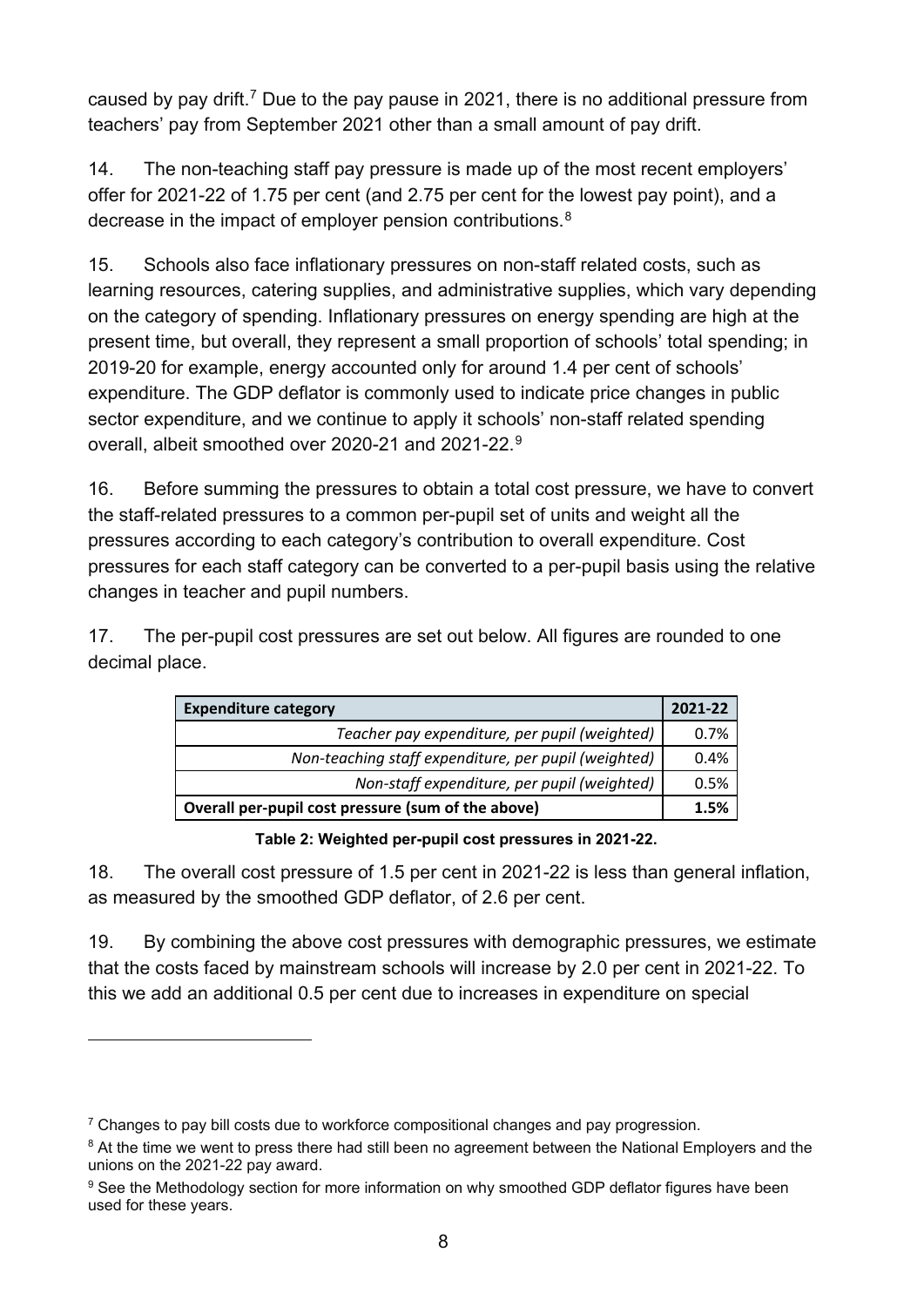caused by pay drift.<sup>[7](#page-7-0)</sup> Due to the pay pause in 2021, there is no additional pressure from teachers' pay from September 2021 other than a small amount of pay drift.

14. The non-teaching staff pay pressure is made up of the most recent employers' offer for 2021-22 of 1.75 per cent (and 2.75 per cent for the lowest pay point), and a decrease in the impact of employer pension contributions.[8](#page-7-1)

15. Schools also face inflationary pressures on non-staff related costs, such as learning resources, catering supplies, and administrative supplies, which vary depending on the category of spending. Inflationary pressures on energy spending are high at the present time, but overall, they represent a small proportion of schools' total spending; in 2019-20 for example, energy accounted only for around 1.4 per cent of schools' expenditure. The GDP deflator is commonly used to indicate price changes in public sector expenditure, and we continue to apply it schools' non-staff related spending overall, albeit smoothed over 2020-21 and 2021-22.[9](#page-7-2)

16. Before summing the pressures to obtain a total cost pressure, we have to convert the staff-related pressures to a common per-pupil set of units and weight all the pressures according to each category's contribution to overall expenditure. Cost pressures for each staff category can be converted to a per-pupil basis using the relative changes in teacher and pupil numbers.

17. The per-pupil cost pressures are set out below. All figures are rounded to one decimal place.

| <b>Expenditure category</b>                          | 2021-22 |
|------------------------------------------------------|---------|
| Teacher pay expenditure, per pupil (weighted)        | 0.7%    |
| Non-teaching staff expenditure, per pupil (weighted) | 0.4%    |
| Non-staff expenditure, per pupil (weighted)          | 0.5%    |
| Overall per-pupil cost pressure (sum of the above)   | 1.5%    |

**Table 2: Weighted per-pupil cost pressures in 2021-22.**

18. The overall cost pressure of 1.5 per cent in 2021-22 is less than general inflation, as measured by the smoothed GDP deflator, of 2.6 per cent.

19. By combining the above cost pressures with demographic pressures, we estimate that the costs faced by mainstream schools will increase by 2.0 per cent in 2021-22. To this we add an additional 0.5 per cent due to increases in expenditure on special

<span id="page-7-0"></span> $7$  Changes to pay bill costs due to workforce compositional changes and pay progression.

<span id="page-7-1"></span><sup>&</sup>lt;sup>8</sup> At the time we went to press there had still been no agreement between the National Employers and the unions on the 2021-22 pay award.

<span id="page-7-2"></span><sup>&</sup>lt;sup>9</sup> See the Methodology section for more information on why smoothed GDP deflator figures have been used for these years.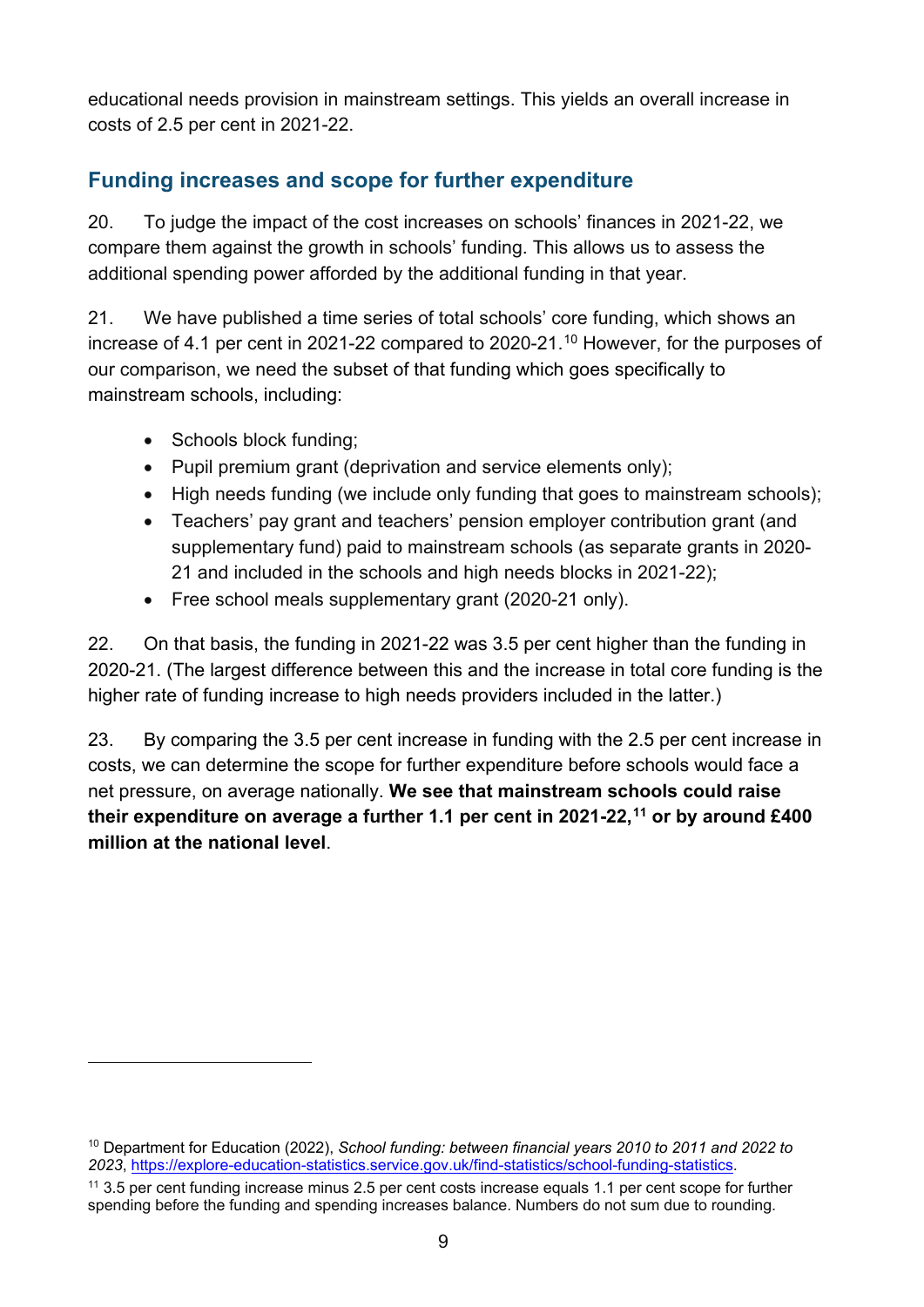educational needs provision in mainstream settings. This yields an overall increase in costs of 2.5 per cent in 2021-22.

#### <span id="page-8-0"></span>**Funding increases and scope for further expenditure**

20. To judge the impact of the cost increases on schools' finances in 2021-22, we compare them against the growth in schools' funding. This allows us to assess the additional spending power afforded by the additional funding in that year.

21. We have published a time series of total schools' core funding, which shows an increase of 4.1 per cent in 2021-22 compared to 2020-21.[10](#page-8-1) However, for the purposes of our comparison, we need the subset of that funding which goes specifically to mainstream schools, including:

- Schools block funding;
- Pupil premium grant (deprivation and service elements only);
- High needs funding (we include only funding that goes to mainstream schools):
- Teachers' pay grant and teachers' pension employer contribution grant (and supplementary fund) paid to mainstream schools (as separate grants in 2020- 21 and included in the schools and high needs blocks in 2021-22);
- Free school meals supplementary grant (2020-21 only).

22. On that basis, the funding in 2021-22 was 3.5 per cent higher than the funding in 2020-21. (The largest difference between this and the increase in total core funding is the higher rate of funding increase to high needs providers included in the latter.)

23. By comparing the 3.5 per cent increase in funding with the 2.5 per cent increase in costs, we can determine the scope for further expenditure before schools would face a net pressure, on average nationally. **We see that mainstream schools could raise their expenditure on average a further 1.1 per cent in 2021-22, [11](#page-8-2) or by around £400 million at the national level**.

<span id="page-8-1"></span><sup>10</sup> Department for Education (2022), *School funding: between financial years 2010 to 2011 and 2022 to 2023*, [https://explore-education-statistics.service.gov.uk/find-statistics/school-funding-statistics.](https://explore-education-statistics.service.gov.uk/find-statistics/school-funding-statistics)

<span id="page-8-2"></span><sup>11</sup> 3.5 per cent funding increase minus 2.5 per cent costs increase equals 1.1 per cent scope for further spending before the funding and spending increases balance. Numbers do not sum due to rounding.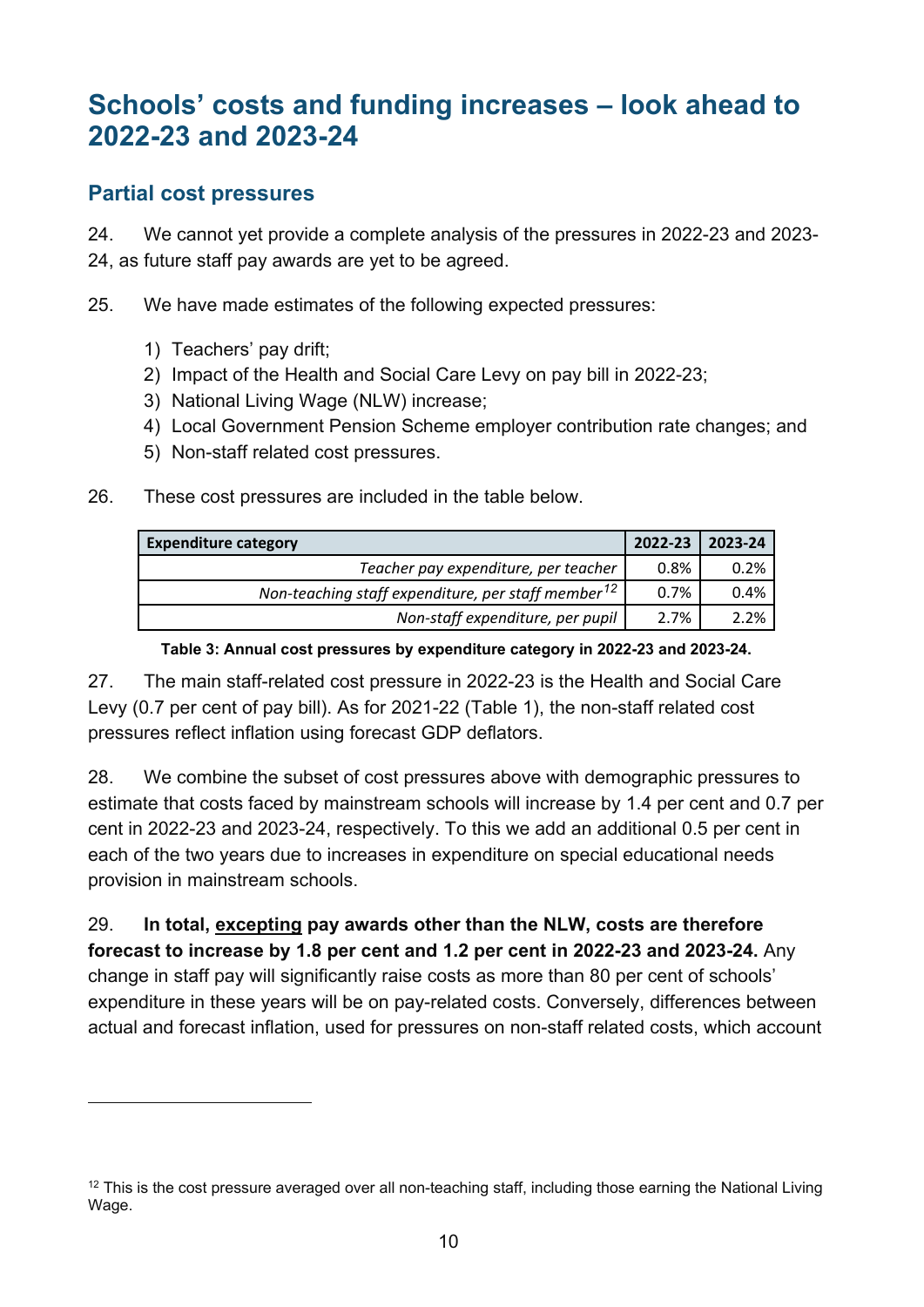## <span id="page-9-0"></span>**Schools' costs and funding increases – look ahead to 2022-23 and 2023-24**

#### <span id="page-9-1"></span>**Partial cost pressures**

24. We cannot yet provide a complete analysis of the pressures in 2022-23 and 2023- 24, as future staff pay awards are yet to be agreed.

25. We have made estimates of the following expected pressures:

- 1) Teachers' pay drift;
- 2) Impact of the Health and Social Care Levy on pay bill in 2022-23;
- 3) National Living Wage (NLW) increase;
- 4) Local Government Pension Scheme employer contribution rate changes; and
- 5) Non-staff related cost pressures.
- 26. These cost pressures are included in the table below.

| <b>Expenditure category</b>                                    | 2022-23 | 2023-24 |
|----------------------------------------------------------------|---------|---------|
| Teacher pay expenditure, per teacher                           | 0.8%    | 0.2%    |
| Non-teaching staff expenditure, per staff member <sup>12</sup> | 0.7%    | 0.4%    |
| Non-staff expenditure, per pupil                               | 2.7%    | 2.2%    |

#### **Table 3: Annual cost pressures by expenditure category in 2022-23 and 2023-24.**

27. The main staff-related cost pressure in 2022-23 is the Health and Social Care Levy (0.7 per cent of pay bill). As for 2021-22 (Table 1), the non-staff related cost pressures reflect inflation using forecast GDP deflators.

28. We combine the subset of cost pressures above with demographic pressures to estimate that costs faced by mainstream schools will increase by 1.4 per cent and 0.7 per cent in 2022-23 and 2023-24, respectively. To this we add an additional 0.5 per cent in each of the two years due to increases in expenditure on special educational needs provision in mainstream schools.

29. **In total, excepting pay awards other than the NLW, costs are therefore forecast to increase by 1.8 per cent and 1.2 per cent in 2022-23 and 2023-24.** Any change in staff pay will significantly raise costs as more than 80 per cent of schools' expenditure in these years will be on pay-related costs. Conversely, differences between actual and forecast inflation, used for pressures on non-staff related costs, which account

<span id="page-9-2"></span><sup>&</sup>lt;sup>12</sup> This is the cost pressure averaged over all non-teaching staff, including those earning the National Living Wage.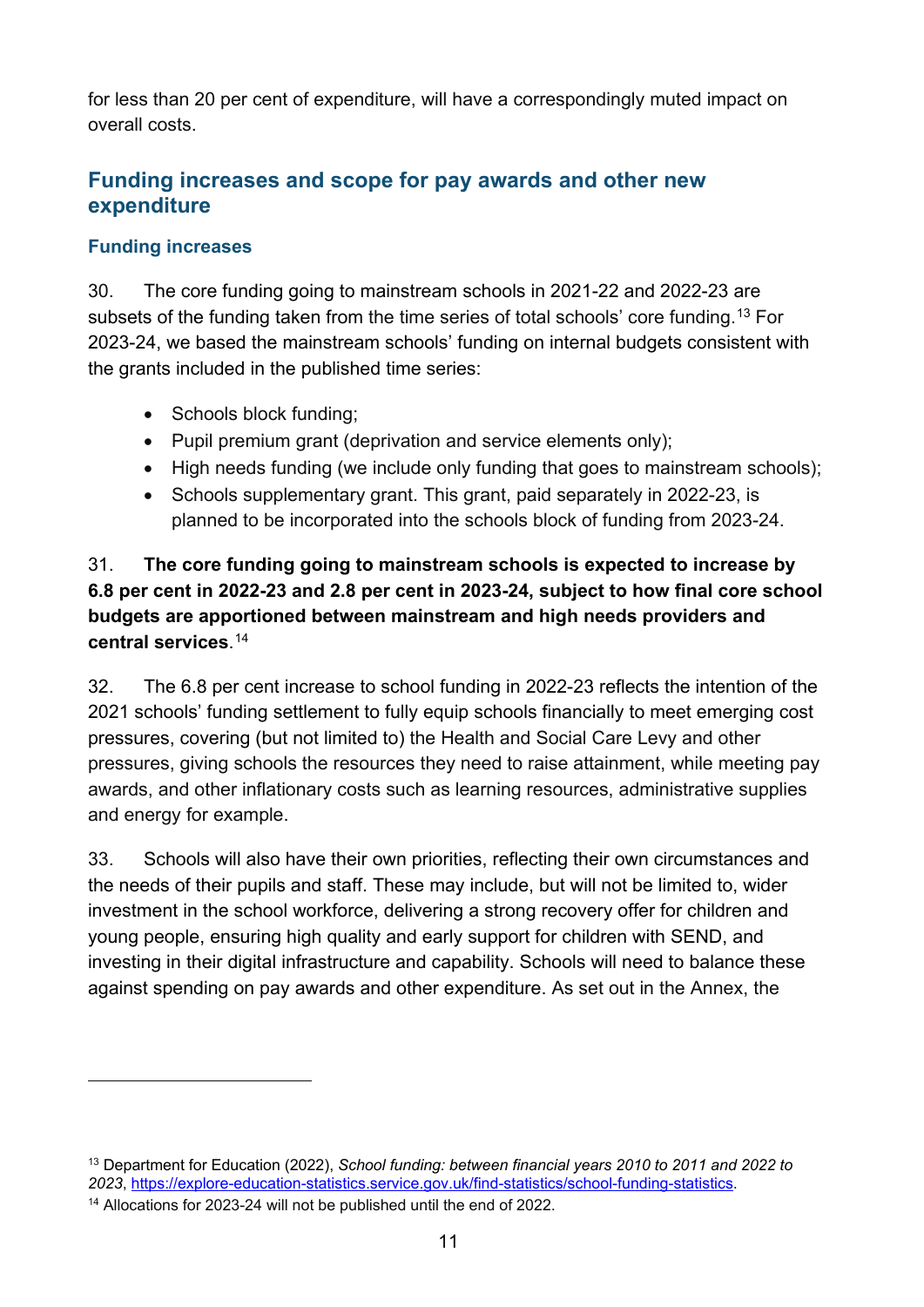for less than 20 per cent of expenditure, will have a correspondingly muted impact on overall costs.

#### <span id="page-10-0"></span>**Funding increases and scope for pay awards and other new expenditure**

#### **Funding increases**

30. The core funding going to mainstream schools in 2021-22 and 2022-23 are subsets of the funding taken from the time series of total schools' core funding.<sup>[13](#page-10-1)</sup> For 2023-24, we based the mainstream schools' funding on internal budgets consistent with the grants included in the published time series:

- Schools block funding;
- Pupil premium grant (deprivation and service elements only);
- High needs funding (we include only funding that goes to mainstream schools);
- Schools supplementary grant. This grant, paid separately in 2022-23, is planned to be incorporated into the schools block of funding from 2023-24.

#### 31. **The core funding going to mainstream schools is expected to increase by 6.8 per cent in 2022-23 and 2.8 per cent in 2023-24, subject to how final core school budgets are apportioned between mainstream and high needs providers and central services**. [14](#page-10-2)

32. The 6.8 per cent increase to school funding in 2022-23 reflects the intention of the 2021 schools' funding settlement to fully equip schools financially to meet emerging cost pressures, covering (but not limited to) the Health and Social Care Levy and other pressures, giving schools the resources they need to raise attainment, while meeting pay awards, and other inflationary costs such as learning resources, administrative supplies and energy for example.

33. Schools will also have their own priorities, reflecting their own circumstances and the needs of their pupils and staff. These may include, but will not be limited to, wider investment in the school workforce, delivering a strong recovery offer for children and young people, ensuring high quality and early support for children with SEND, and investing in their digital infrastructure and capability. Schools will need to balance these against spending on pay awards and other expenditure. As set out in the Annex, the

<span id="page-10-1"></span><sup>13</sup> Department for Education (2022), *School funding: between financial years 2010 to 2011 and 2022 to 2023*, [https://explore-education-statistics.service.gov.uk/find-statistics/school-funding-statistics.](https://explore-education-statistics.service.gov.uk/find-statistics/school-funding-statistics)

<span id="page-10-2"></span><sup>&</sup>lt;sup>14</sup> Allocations for 2023-24 will not be published until the end of 2022.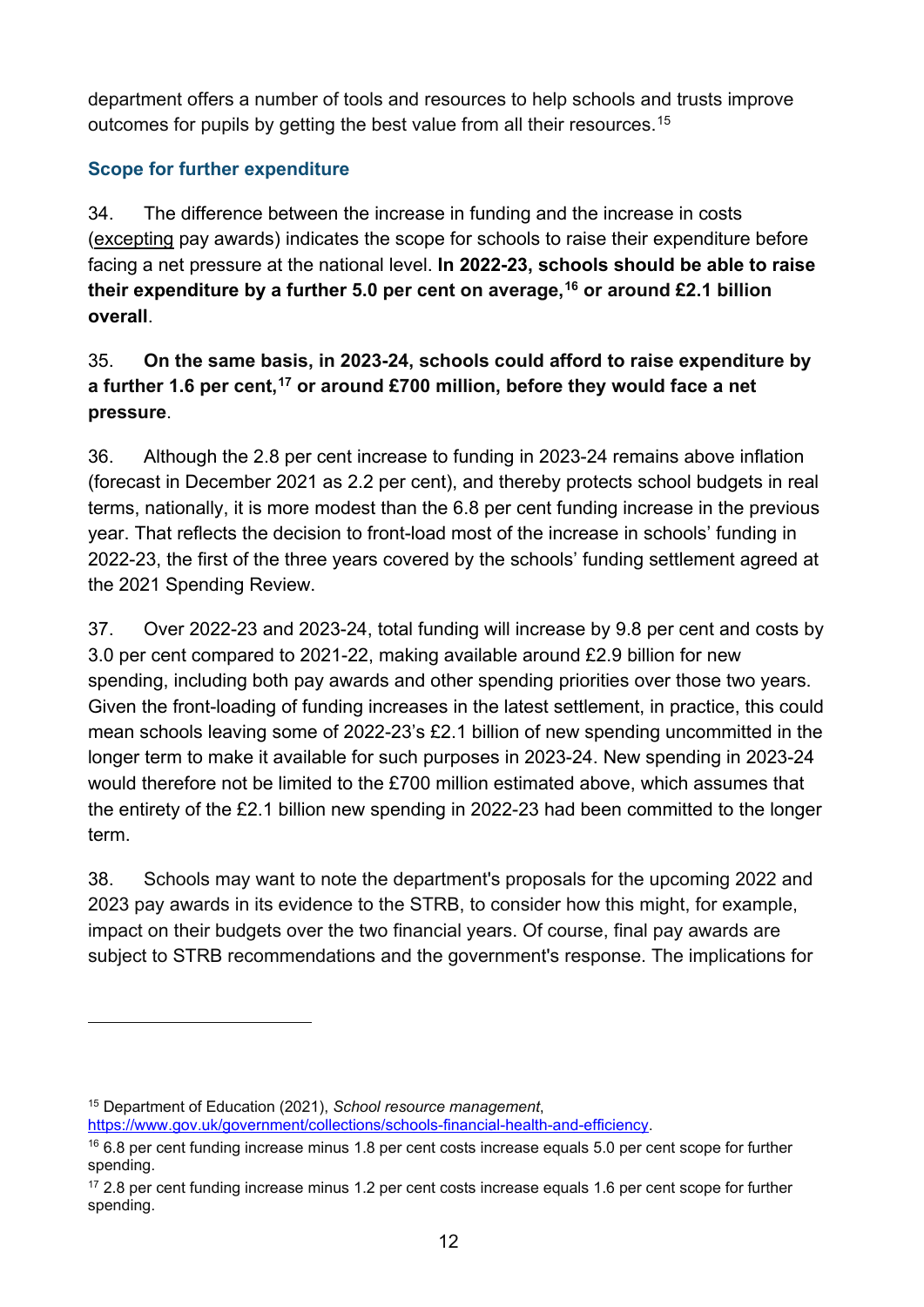department offers a number of tools and resources to help schools and trusts improve outcomes for pupils by getting the best value from all their resources.<sup>[15](#page-11-0)</sup>

#### **Scope for further expenditure**

34. The difference between the increase in funding and the increase in costs (excepting pay awards) indicates the scope for schools to raise their expenditure before facing a net pressure at the national level. **In 2022-23, schools should be able to raise their expenditure by a further 5.0 per cent on average, [16](#page-11-1) or around £2.1 billion overall**.

#### 35. **On the same basis, in 2023-24, schools could afford to raise expenditure by a further 1.6 per cent,[17](#page-11-2) or around £700 million, before they would face a net pressure**.

36. Although the 2.8 per cent increase to funding in 2023-24 remains above inflation (forecast in December 2021 as 2.2 per cent), and thereby protects school budgets in real terms, nationally, it is more modest than the 6.8 per cent funding increase in the previous year. That reflects the decision to front-load most of the increase in schools' funding in 2022-23, the first of the three years covered by the schools' funding settlement agreed at the 2021 Spending Review.

37. Over 2022-23 and 2023-24, total funding will increase by 9.8 per cent and costs by 3.0 per cent compared to 2021-22, making available around £2.9 billion for new spending, including both pay awards and other spending priorities over those two years. Given the front-loading of funding increases in the latest settlement, in practice, this could mean schools leaving some of 2022-23's £2.1 billion of new spending uncommitted in the longer term to make it available for such purposes in 2023-24. New spending in 2023-24 would therefore not be limited to the £700 million estimated above, which assumes that the entirety of the £2.1 billion new spending in 2022-23 had been committed to the longer term.

38. Schools may want to note the department's proposals for the upcoming 2022 and 2023 pay awards in its evidence to the STRB, to consider how this might, for example, impact on their budgets over the two financial years. Of course, final pay awards are subject to STRB recommendations and the government's response. The implications for

<span id="page-11-0"></span><sup>15</sup> Department of Education (2021), *School resource management*,

[https://www.gov.uk/government/collections/schools-financial-health-and-efficiency.](https://www.gov.uk/government/collections/schools-financial-health-and-efficiency)

<span id="page-11-1"></span><sup>&</sup>lt;sup>16</sup> 6.8 per cent funding increase minus 1.8 per cent costs increase equals 5.0 per cent scope for further spending.

<span id="page-11-2"></span><sup>&</sup>lt;sup>17</sup> 2.8 per cent funding increase minus 1.2 per cent costs increase equals 1.6 per cent scope for further spending.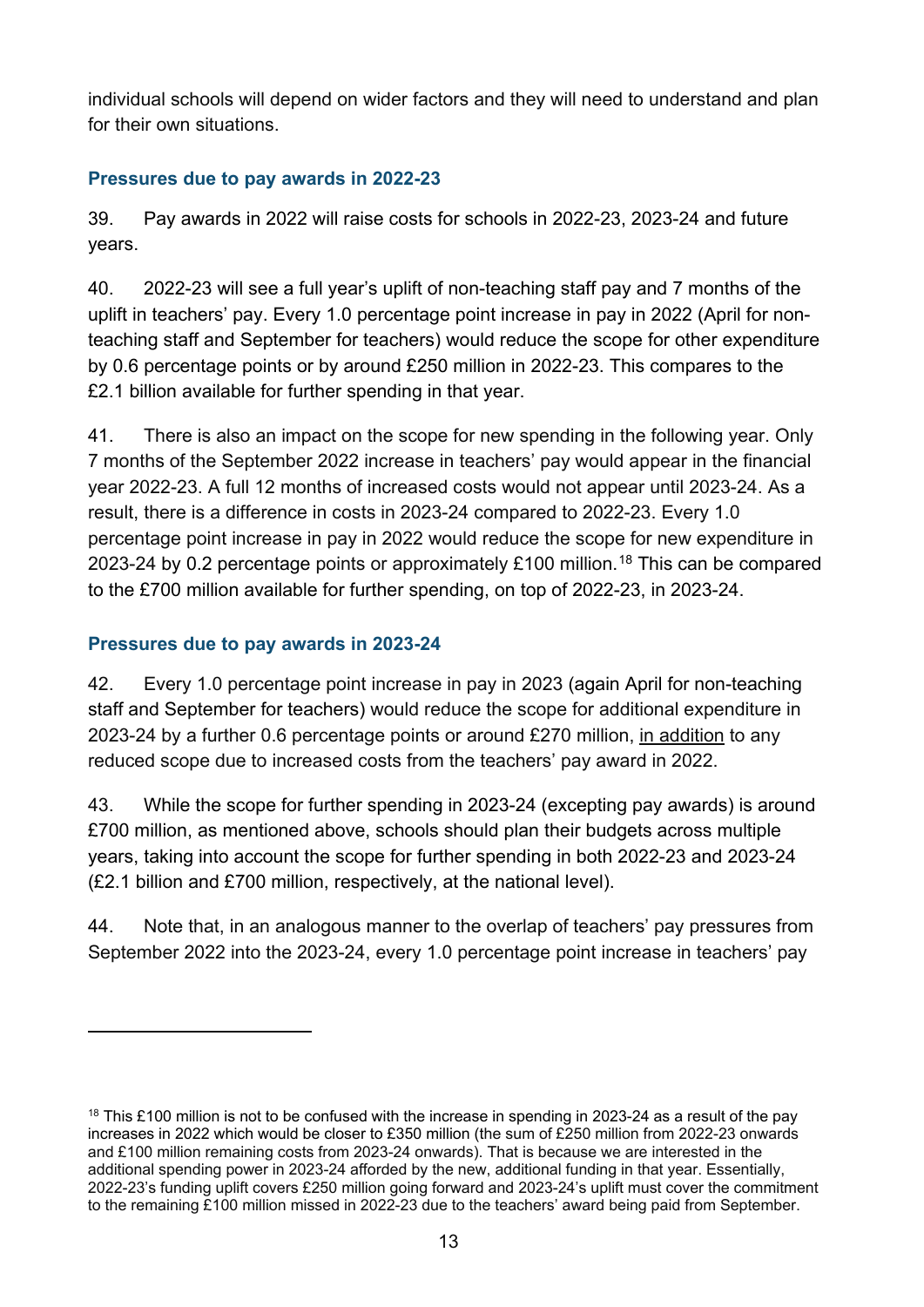individual schools will depend on wider factors and they will need to understand and plan for their own situations.

#### <span id="page-12-0"></span>**Pressures due to pay awards in 2022-23**

39. Pay awards in 2022 will raise costs for schools in 2022-23, 2023-24 and future years.

40. 2022-23 will see a full year's uplift of non-teaching staff pay and 7 months of the uplift in teachers' pay. Every 1.0 percentage point increase in pay in 2022 (April for nonteaching staff and September for teachers) would reduce the scope for other expenditure by 0.6 percentage points or by around £250 million in 2022-23. This compares to the £2.1 billion available for further spending in that year.

41. There is also an impact on the scope for new spending in the following year. Only 7 months of the September 2022 increase in teachers' pay would appear in the financial year 2022-23. A full 12 months of increased costs would not appear until 2023-24. As a result, there is a difference in costs in 2023-24 compared to 2022-23. Every 1.0 percentage point increase in pay in 2022 would reduce the scope for new expenditure in 2023-24 by 0.2 percentage points or approximately £100 million.<sup>[18](#page-12-2)</sup> This can be compared to the £700 million available for further spending, on top of 2022-23, in 2023-24.

#### <span id="page-12-1"></span>**Pressures due to pay awards in 2023-24**

42. Every 1.0 percentage point increase in pay in 2023 (again April for non-teaching staff and September for teachers) would reduce the scope for additional expenditure in 2023-24 by a further 0.6 percentage points or around £270 million, in addition to any reduced scope due to increased costs from the teachers' pay award in 2022.

43. While the scope for further spending in 2023-24 (excepting pay awards) is around £700 million, as mentioned above, schools should plan their budgets across multiple years, taking into account the scope for further spending in both 2022-23 and 2023-24 (£2.1 billion and £700 million, respectively, at the national level).

44. Note that, in an analogous manner to the overlap of teachers' pay pressures from September 2022 into the 2023-24, every 1.0 percentage point increase in teachers' pay

<span id="page-12-2"></span><sup>&</sup>lt;sup>18</sup> This £100 million is not to be confused with the increase in spending in 2023-24 as a result of the pay increases in 2022 which would be closer to £350 million (the sum of £250 million from 2022-23 onwards and £100 million remaining costs from 2023-24 onwards). That is because we are interested in the additional spending power in 2023-24 afforded by the new, additional funding in that year. Essentially, 2022-23's funding uplift covers £250 million going forward and 2023-24's uplift must cover the commitment to the remaining £100 million missed in 2022-23 due to the teachers' award being paid from September.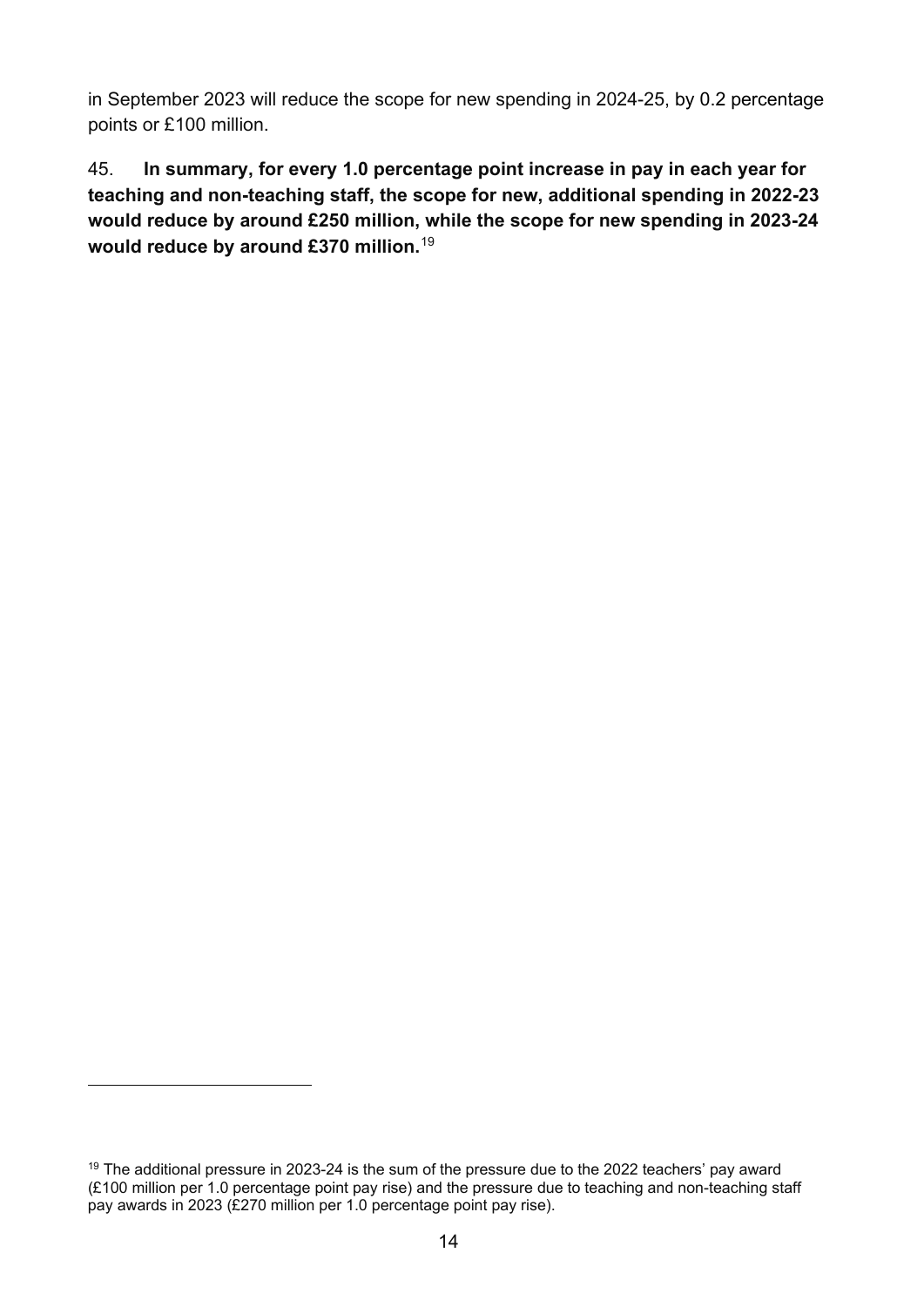in September 2023 will reduce the scope for new spending in 2024-25, by 0.2 percentage points or £100 million.

45. **In summary, for every 1.0 percentage point increase in pay in each year for teaching and non-teaching staff, the scope for new, additional spending in 2022-23 would reduce by around £250 million, while the scope for new spending in 2023-24 would reduce by around £370 million.**[19](#page-13-0)

<span id="page-13-0"></span> $19$  The additional pressure in 2023-24 is the sum of the pressure due to the 2022 teachers' pay award (£100 million per 1.0 percentage point pay rise) and the pressure due to teaching and non-teaching staff pay awards in 2023 (£270 million per 1.0 percentage point pay rise).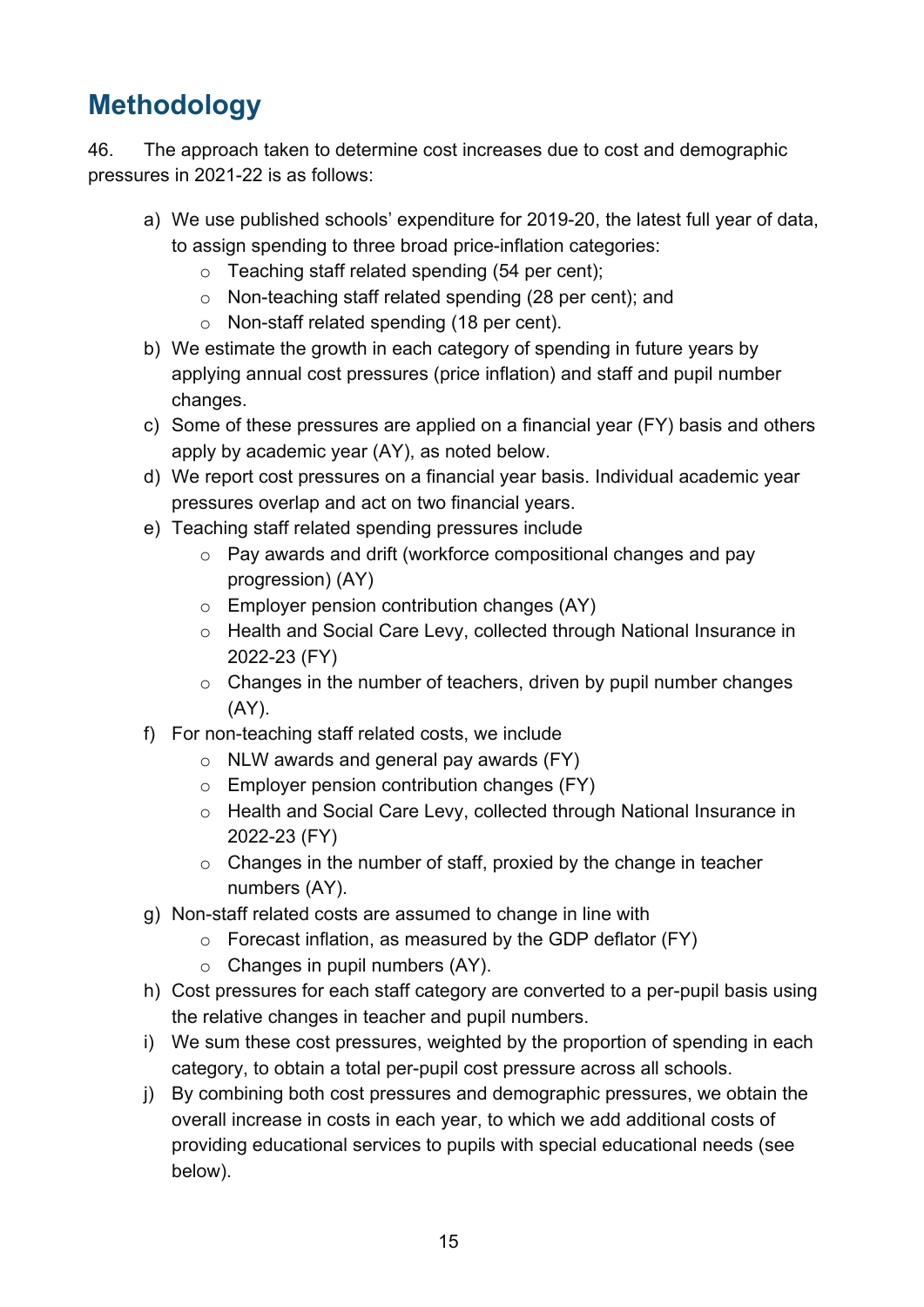# <span id="page-14-0"></span>**Methodology**

46. The approach taken to determine cost increases due to cost and demographic pressures in 2021-22 is as follows:

- a) We use published schools' expenditure for 2019-20, the latest full year of data, to assign spending to three broad price-inflation categories:
	- $\circ$  Teaching staff related spending (54 per cent);
	- o Non-teaching staff related spending (28 per cent); and
	- o Non-staff related spending (18 per cent).
- b) We estimate the growth in each category of spending in future years by applying annual cost pressures (price inflation) and staff and pupil number changes.
- c) Some of these pressures are applied on a financial year (FY) basis and others apply by academic year (AY), as noted below.
- d) We report cost pressures on a financial year basis. Individual academic year pressures overlap and act on two financial years.
- e) Teaching staff related spending pressures include
	- o Pay awards and drift (workforce compositional changes and pay progression) (AY)
	- o Employer pension contribution changes (AY)
	- o Health and Social Care Levy, collected through National Insurance in 2022-23 (FY)
	- o Changes in the number of teachers, driven by pupil number changes (AY).
- f) For non-teaching staff related costs, we include
	- $\circ$  NLW awards and general pay awards (FY)
	- o Employer pension contribution changes (FY)
	- o Health and Social Care Levy, collected through National Insurance in 2022-23 (FY)
	- o Changes in the number of staff, proxied by the change in teacher numbers (AY).
- g) Non-staff related costs are assumed to change in line with
	- $\circ$  Forecast inflation, as measured by the GDP deflator (FY)
	- $\circ$  Changes in pupil numbers (AY).
- h) Cost pressures for each staff category are converted to a per-pupil basis using the relative changes in teacher and pupil numbers.
- i) We sum these cost pressures, weighted by the proportion of spending in each category, to obtain a total per-pupil cost pressure across all schools.
- j) By combining both cost pressures and demographic pressures, we obtain the overall increase in costs in each year, to which we add additional costs of providing educational services to pupils with special educational needs (see below).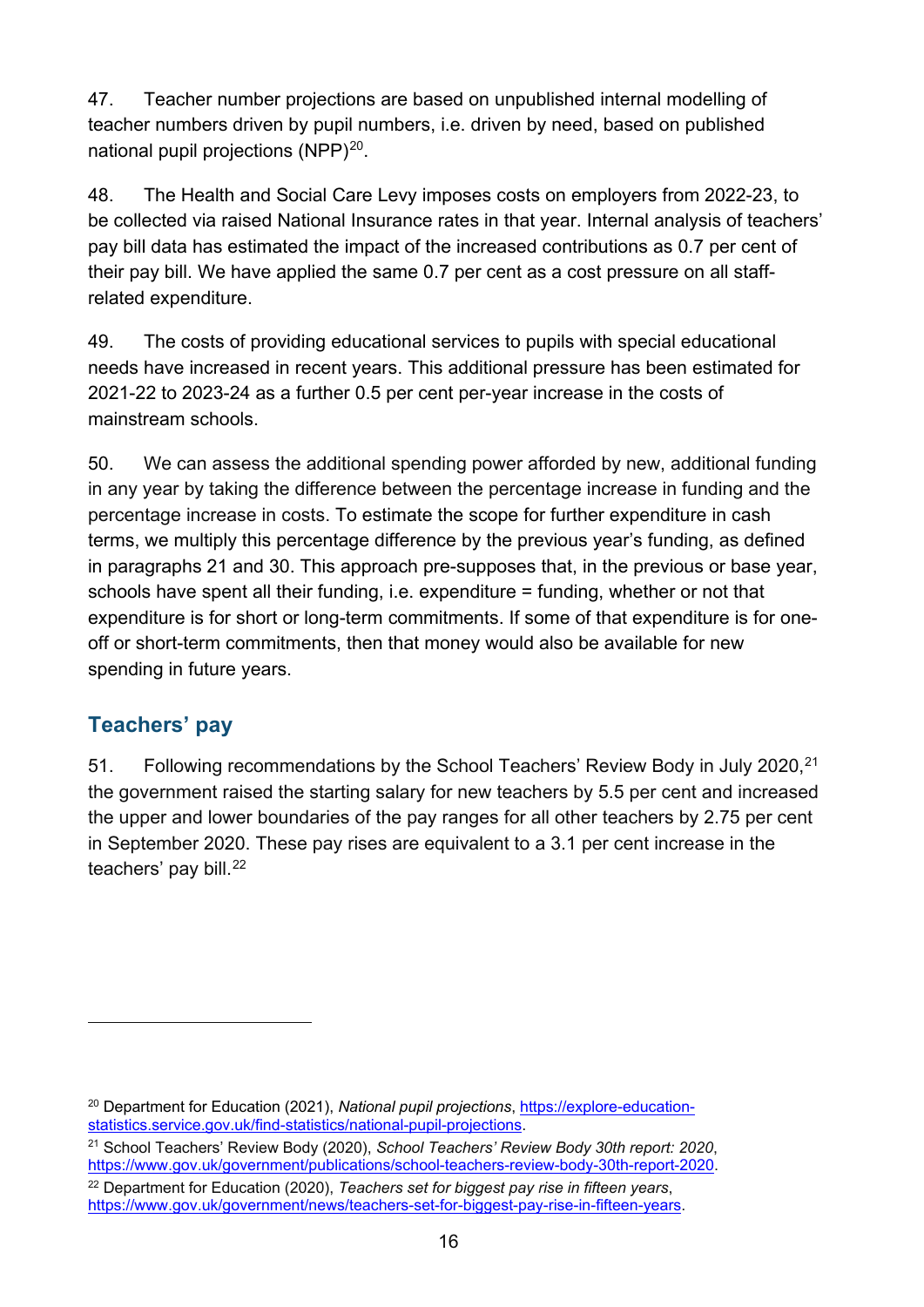47. Teacher number projections are based on unpublished internal modelling of teacher numbers driven by pupil numbers, i.e. driven by need, based on published national pupil projections (NPP)<sup>[20](#page-15-1)</sup>.

48. The Health and Social Care Levy imposes costs on employers from 2022-23, to be collected via raised National Insurance rates in that year. Internal analysis of teachers' pay bill data has estimated the impact of the increased contributions as 0.7 per cent of their pay bill. We have applied the same 0.7 per cent as a cost pressure on all staffrelated expenditure.

49. The costs of providing educational services to pupils with special educational needs have increased in recent years. This additional pressure has been estimated for 2021-22 to 2023-24 as a further 0.5 per cent per-year increase in the costs of mainstream schools.

50. We can assess the additional spending power afforded by new, additional funding in any year by taking the difference between the percentage increase in funding and the percentage increase in costs. To estimate the scope for further expenditure in cash terms, we multiply this percentage difference by the previous year's funding, as defined in paragraphs 21 and 30. This approach pre-supposes that, in the previous or base year, schools have spent all their funding, i.e. expenditure = funding, whether or not that expenditure is for short or long-term commitments. If some of that expenditure is for oneoff or short-term commitments, then that money would also be available for new spending in future years.

#### <span id="page-15-0"></span>**Teachers' pay**

51. Following recommendations by the School Teachers' Review Body in July 2020, <sup>[21](#page-15-2)</sup> the government raised the starting salary for new teachers by 5.5 per cent and increased the upper and lower boundaries of the pay ranges for all other teachers by 2.75 per cent in September 2020. These pay rises are equivalent to a 3.1 per cent increase in the teachers' pay bill.<sup>22</sup>

<span id="page-15-1"></span><sup>20</sup> Department for Education (2021), *National pupil projections*, [https://explore-education](https://explore-education-statistics.service.gov.uk/find-statistics/national-pupil-projections)[statistics.service.gov.uk/find-statistics/national-pupil-projections.](https://explore-education-statistics.service.gov.uk/find-statistics/national-pupil-projections)

<span id="page-15-2"></span><sup>21</sup> School Teachers' Review Body (2020), *School Teachers' Review Body 30th report: 2020*, [https://www.gov.uk/government/publications/school-teachers-review-body-30th-report-2020.](https://www.gov.uk/government/publications/school-teachers-review-body-30th-report-2020)

<span id="page-15-3"></span><sup>22</sup> Department for Education (2020), *Teachers set for biggest pay rise in fifteen years*, [https://www.gov.uk/government/news/teachers-set-for-biggest-pay-rise-in-fifteen-years.](https://www.gov.uk/government/news/teachers-set-for-biggest-pay-rise-in-fifteen-years)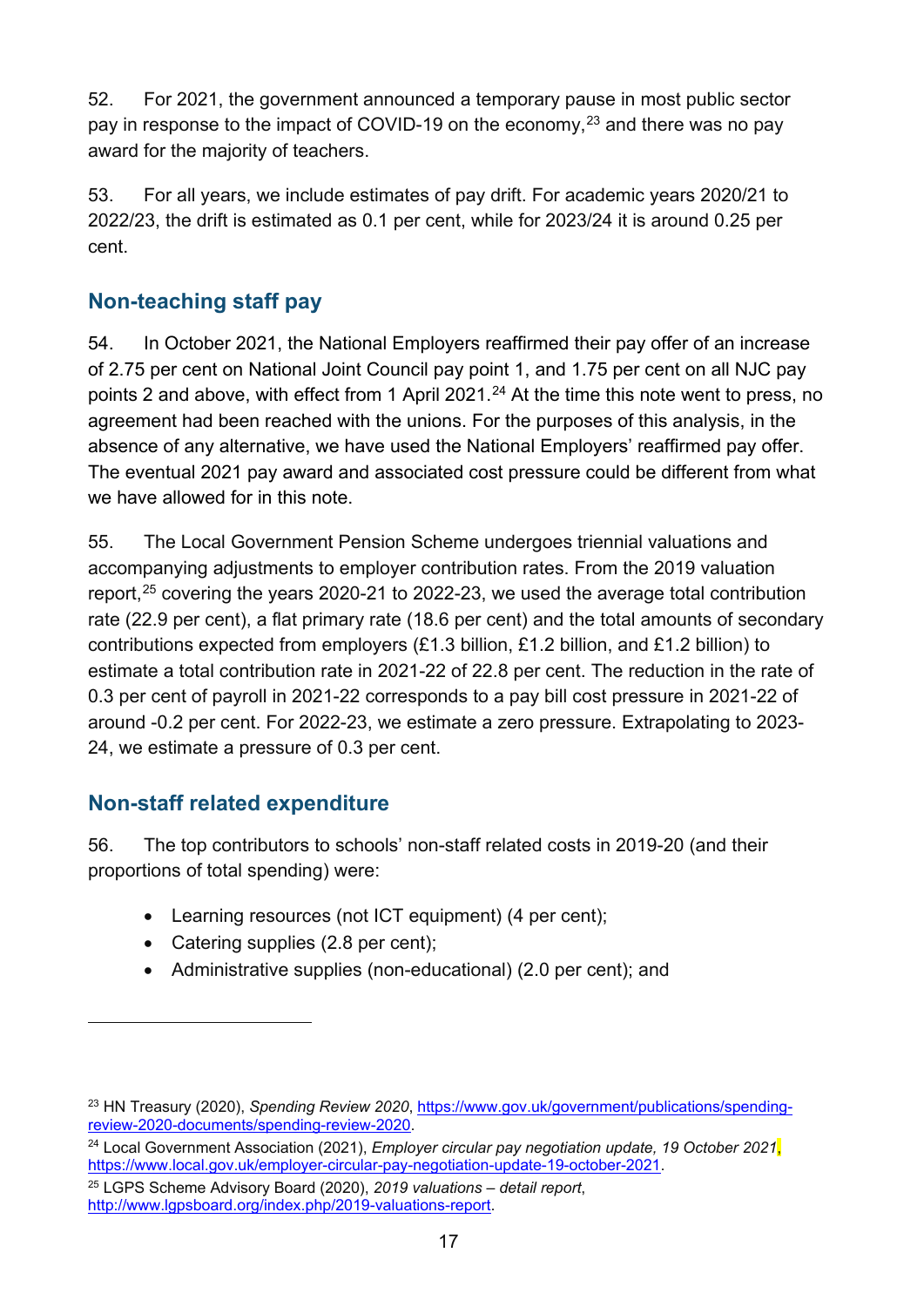52. For 2021, the government announced a temporary pause in most public sector pay in response to the impact of COVID-19 on the economy,  $^{23}$  $^{23}$  $^{23}$  and there was no pay award for the majority of teachers.

53. For all years, we include estimates of pay drift. For academic years 2020/21 to 2022/23, the drift is estimated as 0.1 per cent, while for 2023/24 it is around 0.25 per cent.

#### <span id="page-16-0"></span>**Non-teaching staff pay**

54. In October 2021, the National Employers reaffirmed their pay offer of an increase of 2.75 per cent on National Joint Council pay point 1, and 1.75 per cent on all NJC pay points 2 and above, with effect from 1 April 2021.<sup>[24](#page-16-3)</sup> At the time this note went to press, no agreement had been reached with the unions. For the purposes of this analysis, in the absence of any alternative, we have used the National Employers' reaffirmed pay offer. The eventual 2021 pay award and associated cost pressure could be different from what we have allowed for in this note.

55. The Local Government Pension Scheme undergoes triennial valuations and accompanying adjustments to employer contribution rates. From the 2019 valuation report,<sup>[25](#page-16-4)</sup> covering the years 2020-21 to 2022-23, we used the average total contribution rate (22.9 per cent), a flat primary rate (18.6 per cent) and the total amounts of secondary contributions expected from employers (£1.3 billion, £1.2 billion, and £1.2 billion) to estimate a total contribution rate in 2021-22 of 22.8 per cent. The reduction in the rate of 0.3 per cent of payroll in 2021-22 corresponds to a pay bill cost pressure in 2021-22 of around -0.2 per cent. For 2022-23, we estimate a zero pressure. Extrapolating to 2023- 24, we estimate a pressure of 0.3 per cent.

#### <span id="page-16-1"></span>**Non-staff related expenditure**

56. The top contributors to schools' non-staff related costs in 2019-20 (and their proportions of total spending) were:

- Learning resources (not ICT equipment) (4 per cent);
- Catering supplies (2.8 per cent);
- Administrative supplies (non-educational) (2.0 per cent); and

<span id="page-16-4"></span><sup>25</sup> LGPS Scheme Advisory Board (2020), *2019 valuations – detail report*, [http://www.lgpsboard.org/index.php/2019-valuations-report.](http://www.lgpsboard.org/index.php/2019-valuations-report)

<span id="page-16-2"></span><sup>23</sup> HN Treasury (2020), *Spending Review 2020*, [https://www.gov.uk/government/publications/spending](https://www.gov.uk/government/publications/spending-review-2020-documents/spending-review-2020)[review-2020-documents/spending-review-2020.](https://www.gov.uk/government/publications/spending-review-2020-documents/spending-review-2020)

<span id="page-16-3"></span><sup>24</sup> Local Government Association (2021), *Employer circular pay negotiation update, 19 October 2021*, [https://www.local.gov.uk/employer-circular-pay-negotiation-update-19-october-2021.](https://www.local.gov.uk/employer-circular-pay-negotiation-update-19-october-2021)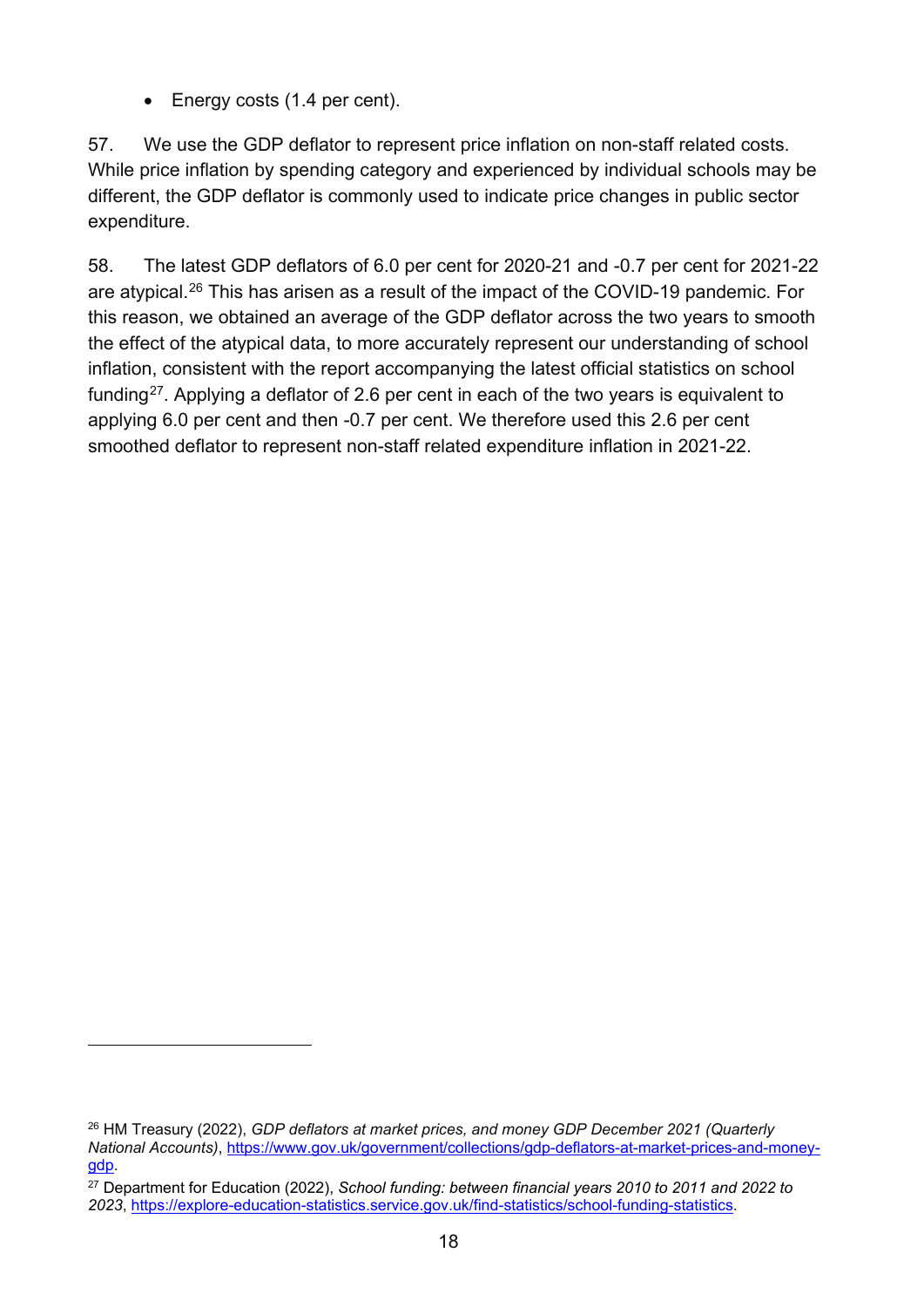• Energy costs (1.4 per cent).

57. We use the GDP deflator to represent price inflation on non-staff related costs. While price inflation by spending category and experienced by individual schools may be different, the GDP deflator is commonly used to indicate price changes in public sector expenditure.

58. The latest GDP deflators of 6.0 per cent for 2020-21 and -0.7 per cent for 2021-22 are atypical.[26](#page-17-0) This has arisen as a result of the impact of the COVID-19 pandemic. For this reason, we obtained an average of the GDP deflator across the two years to smooth the effect of the atypical data, to more accurately represent our understanding of school inflation, consistent with the report accompanying the latest official statistics on school funding<sup>[27](#page-17-1)</sup>. Applying a deflator of 2.6 per cent in each of the two years is equivalent to applying 6.0 per cent and then -0.7 per cent. We therefore used this 2.6 per cent smoothed deflator to represent non-staff related expenditure inflation in 2021-22.

<span id="page-17-0"></span><sup>26</sup> HM Treasury (2022), *GDP deflators at market prices, and money GDP December 2021 (Quarterly National Accounts)*, [https://www.gov.uk/government/collections/gdp-deflators-at-market-prices-and-money](https://www.gov.uk/government/collections/gdp-deflators-at-market-prices-and-money-gdp)[gdp.](https://www.gov.uk/government/collections/gdp-deflators-at-market-prices-and-money-gdp)

<span id="page-17-1"></span><sup>27</sup> Department for Education (2022), *School funding: between financial years 2010 to 2011 and 2022 to 2023*, [https://explore-education-statistics.service.gov.uk/find-statistics/school-funding-statistics.](https://explore-education-statistics.service.gov.uk/find-statistics/school-funding-statistics)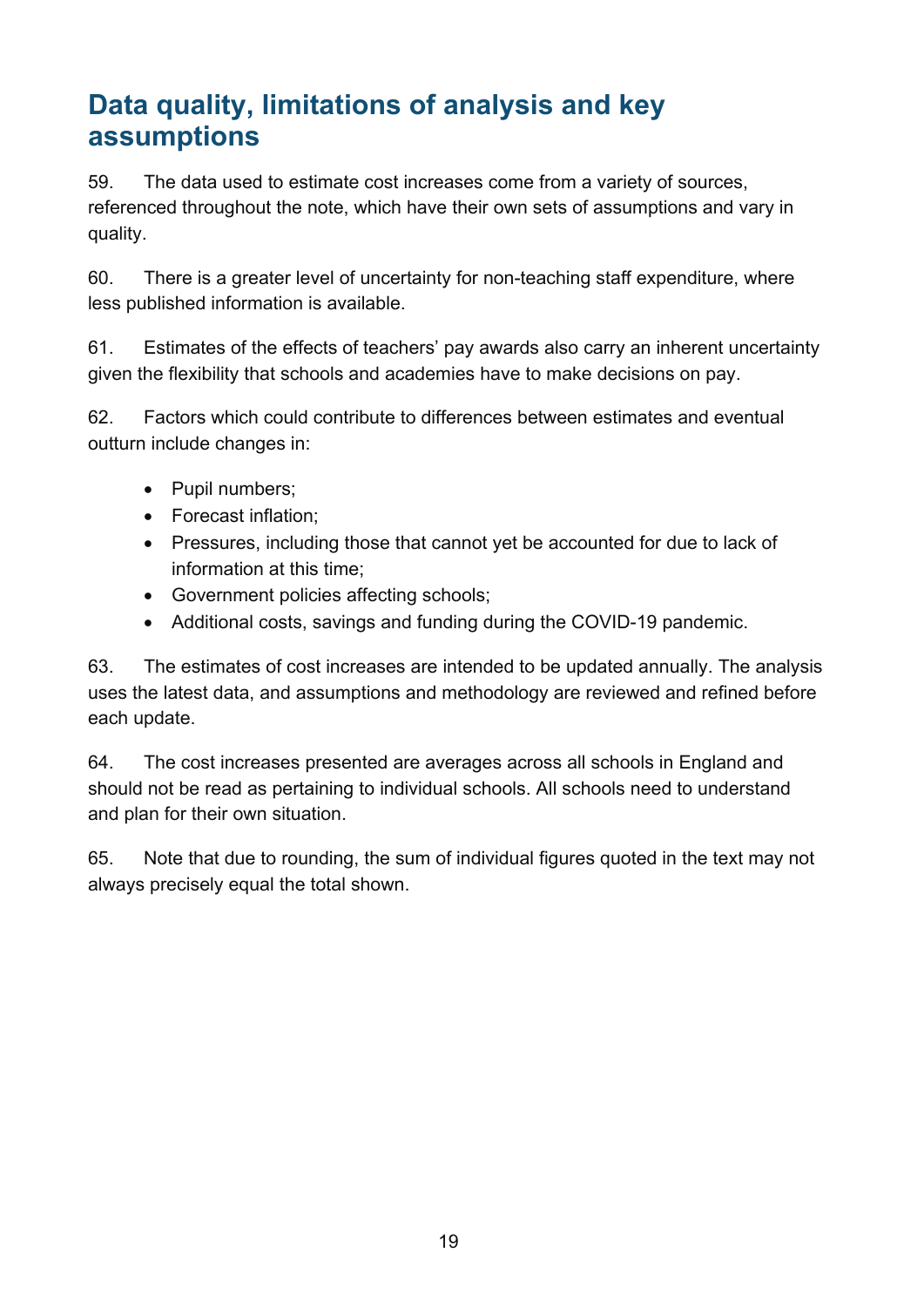# <span id="page-18-0"></span>**Data quality, limitations of analysis and key assumptions**

59. The data used to estimate cost increases come from a variety of sources, referenced throughout the note, which have their own sets of assumptions and vary in quality.

60. There is a greater level of uncertainty for non-teaching staff expenditure, where less published information is available.

61. Estimates of the effects of teachers' pay awards also carry an inherent uncertainty given the flexibility that schools and academies have to make decisions on pay.

62. Factors which could contribute to differences between estimates and eventual outturn include changes in:

- Pupil numbers;
- Forecast inflation;
- Pressures, including those that cannot yet be accounted for due to lack of information at this time;
- Government policies affecting schools;
- Additional costs, savings and funding during the COVID-19 pandemic.

63. The estimates of cost increases are intended to be updated annually. The analysis uses the latest data, and assumptions and methodology are reviewed and refined before each update.

64. The cost increases presented are averages across all schools in England and should not be read as pertaining to individual schools. All schools need to understand and plan for their own situation.

65. Note that due to rounding, the sum of individual figures quoted in the text may not always precisely equal the total shown.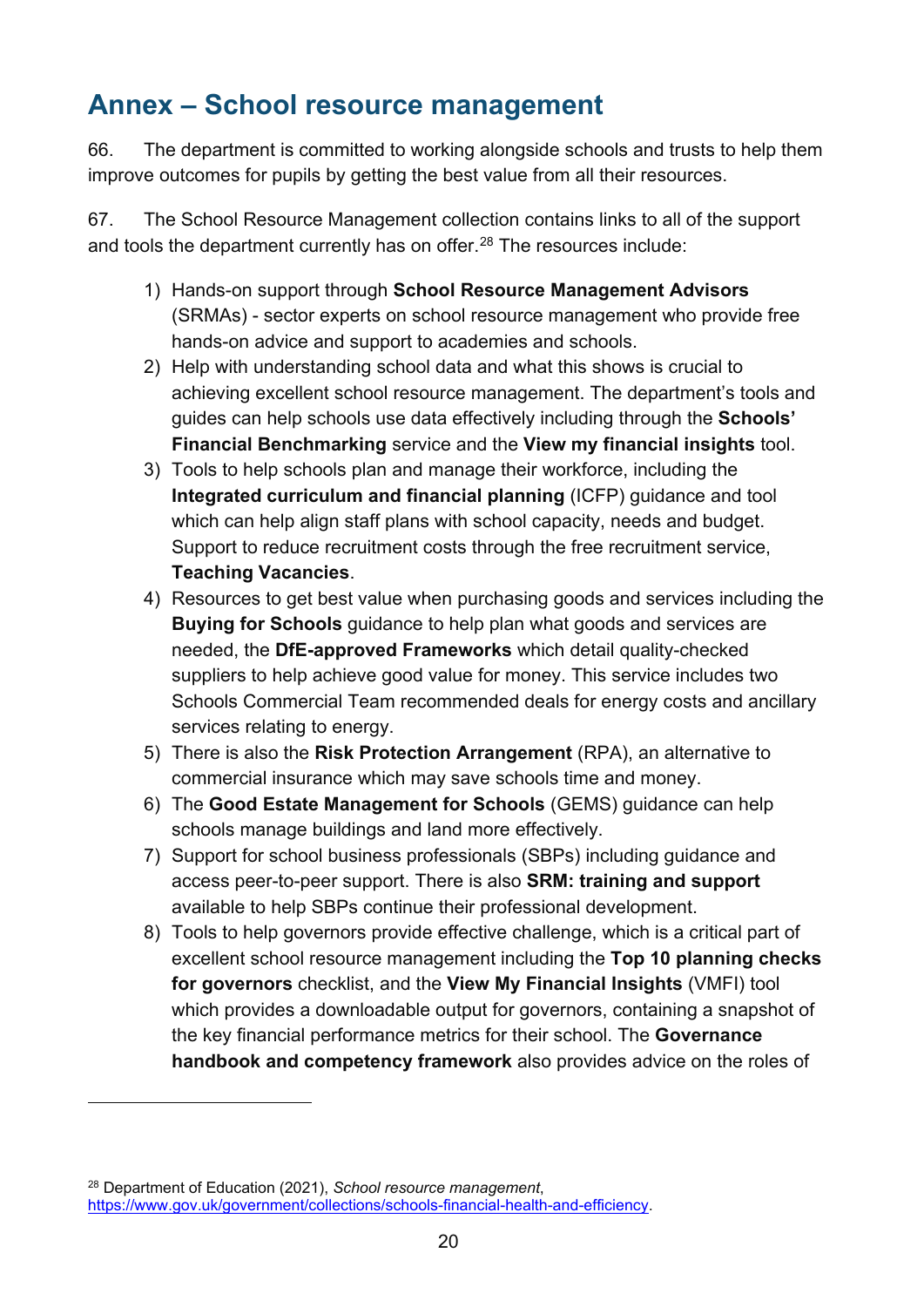## <span id="page-19-0"></span>**Annex – School resource management**

66. The department is committed to working alongside schools and trusts to help them improve outcomes for pupils by getting the best value from all their resources.

67. The School Resource Management collection contains links to all of the support and tools the department currently has on offer. [28](#page-19-1) The resources include:

- 1) Hands-on support through **School Resource Management Advisors** (SRMAs) - sector experts on school resource management who provide free hands-on advice and support to academies and schools.
- 2) Help with understanding school data and what this shows is crucial to achieving excellent school resource management. The department's tools and guides can help schools use data effectively including through the **Schools' Financial Benchmarking** service and the **View my financial insights** tool.
- 3) Tools to help schools plan and manage their workforce, including the **Integrated curriculum and financial planning** (ICFP) guidance and tool which can help align staff plans with school capacity, needs and budget. Support to reduce recruitment costs through the free recruitment service, **Teaching Vacancies**.
- 4) Resources to get best value when purchasing goods and services including the **Buying for Schools** guidance to help plan what goods and services are needed, the **DfE-approved Frameworks** which detail quality-checked suppliers to help achieve good value for money. This service includes two Schools Commercial Team recommended deals for energy costs and ancillary services relating to energy.
- 5) There is also the **Risk Protection Arrangement** (RPA), an alternative to commercial insurance which may save schools time and money.
- 6) The **Good Estate Management for Schools** (GEMS) guidance can help schools manage buildings and land more effectively.
- 7) Support for school business professionals (SBPs) including guidance and access peer-to-peer support. There is also **SRM: training and support** available to help SBPs continue their professional development.
- 8) Tools to help governors provide effective challenge, which is a critical part of excellent school resource management including the **Top 10 planning checks for governors** checklist, and the **View My Financial Insights** (VMFI) tool which provides a downloadable output for governors, containing a snapshot of the key financial performance metrics for their school. The **Governance handbook and competency framework** also provides advice on the roles of

<span id="page-19-1"></span><sup>28</sup> Department of Education (2021), *School resource management*, [https://www.gov.uk/government/collections/schools-financial-health-and-efficiency.](https://www.gov.uk/government/collections/schools-financial-health-and-efficiency)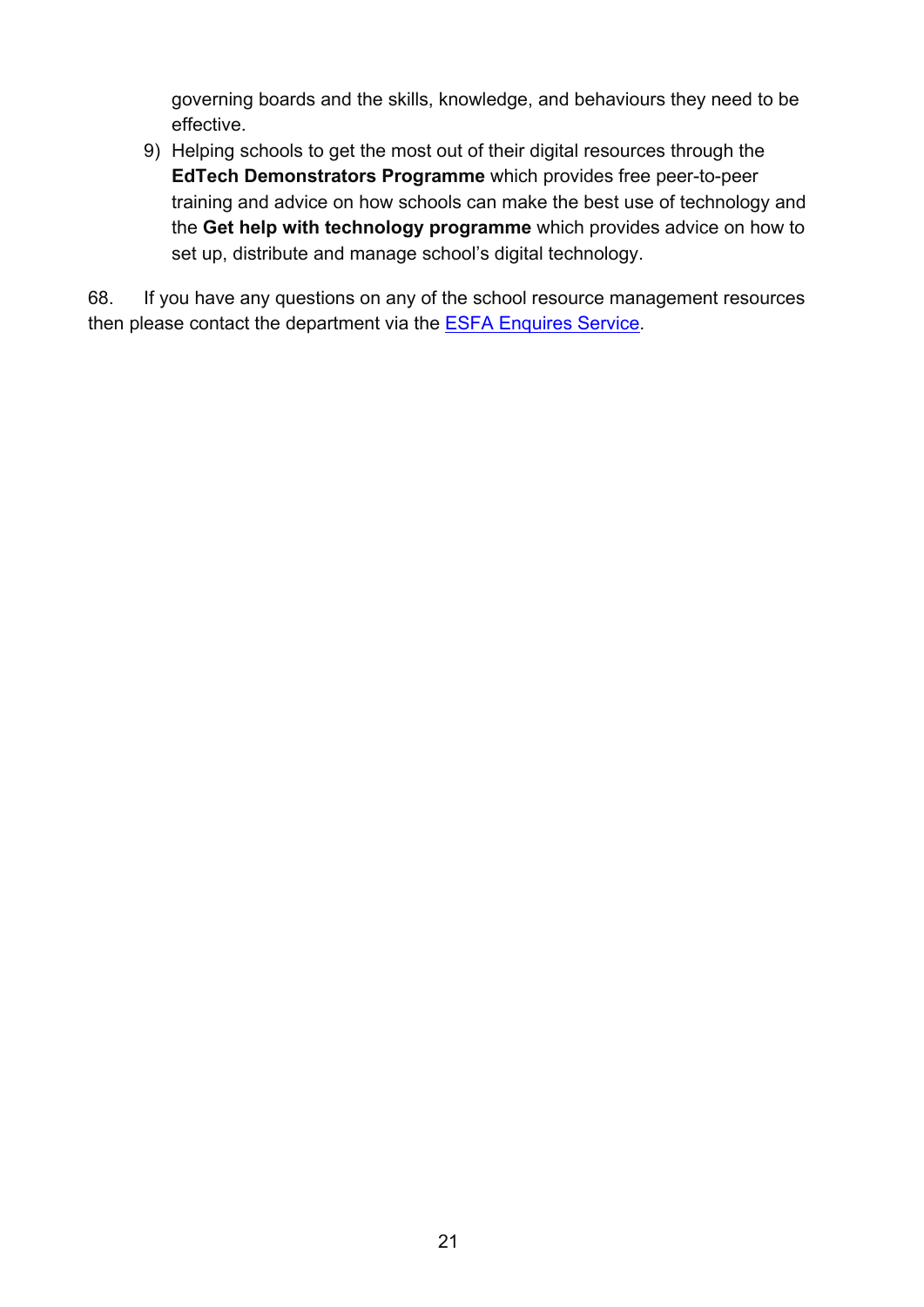governing boards and the skills, knowledge, and behaviours they need to be effective.

9) Helping schools to get the most out of their digital resources through the **EdTech Demonstrators Programme** which provides free peer-to-peer training and advice on how schools can make the best use of technology and the **Get help with technology programme** which provides advice on how to set up, distribute and manage school's digital technology.

68. If you have any questions on any of the school resource management resources then please contact the department via the [ESFA Enquires Service.](https://form.education.gov.uk/en/AchieveForms/?form_uri=sandbox-publish://AF-Process-f9f4f5a1-936f-448b-bbeb-9dcdd595f468/AF-Stage-8aa41278-3cdd-45a3-ad87-80cbffb8b992/definition.json&redirectlink=%2Fen&cancelRedirectLink=%2Fen)